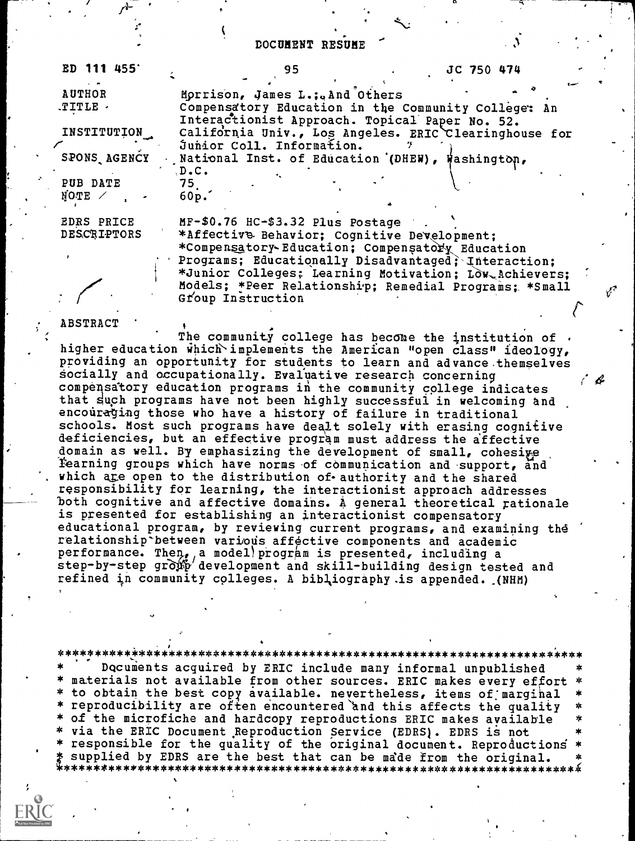### DOCUMENT RESUME

| <b>ED 111 455'</b>        | 95<br>JC 750 474                                                                                                                                                      |
|---------------------------|-----------------------------------------------------------------------------------------------------------------------------------------------------------------------|
| <b>AUTHOR</b>             | Morrison, James L.; And Others                                                                                                                                        |
| $TITLE$ .                 | Compensatory Education in the Community College: An<br>Interactionist Approach. Topical Paper No. 52.                                                                 |
| INSTITUTION               | California Univ., Los Angeles. ERIC Clearinghouse for                                                                                                                 |
| SPONS AGENCY              | Junior Coll. Information.<br>National Inst. of Education (DHEW), Washington,                                                                                          |
| PUB DATE<br>$NQTE$ /      | $D$ . $C$ .<br>$75\_$<br>60p.                                                                                                                                         |
| EDRS PRICE<br>DESCRIPTORS | MF-\$0.76 HC-\$3.32 Plus Postage<br>*Affective Behavior; Cognitive Development;<br>*Compensatory-Education; Compensatory Education                                    |
|                           | Programs; Educationally Disadvantaged; Interaction;<br>*Junior Colleges; Learning Motivation; LOW Achievers;<br>Models; *Peer Relationship; Remedial Programs; *Small |

Group Instruction

#### **ABSTRACT**

The community college has become the institution of  $\cdot$ higher education which implements the American "open class" ideology, providing an opportunity for students to learn and advance. themselves socially and occupationally. Evaluative research concerning compensatory education programs in the community college indicates that such programs have not been highly successful in welcoming and encouraging those who have a history of failure in traditional schools. Most such programs have dealt solely with erasing cognitive deficiencies, but an effective program must address the affective domain as well. By emphasizing the development of small, cohesiye Eearning groups which have norms of communication and support, and which are open to the distribution of authority and the shared responsibility for learning, the interactionist approach addresses both cognitive and affective domains. A general theoretical rationale is presented for establishing an interactionist compensatory educational program, by reviewing current programs, and examining the relationship between various affective components and academic performance. Then, a model) program is presented, including a step-by-step gro $\mathfrak{P}'$  development and skill-building design tested and refined in community colleges. A bibliography is appended. .(NHM)

 $\mathcal{L}% _{M_{1},M_{2}}^{\alpha,\beta}(\theta)=\left( \mathcal{L}_{M_{1},M_{2}}^{\alpha,\beta}\right) ^{\alpha,\beta}$ 

\*\*\*\*\*\*\*\*\*\*\*\*\*\*\*\*\*\*\*\*\*\*\*\*\*\*\*\*\*\*\*\*\*\*\*\*\*\*\*\*\*\*\*\*\*\*\*\*\*\*\*\*\*\*\*\*\*\*\*\*\*\*\*\*\*\*.\*\*\*\* Documents acquired by ERIC include many informal unpublished materials not available from other sources. ERIC makes every effort \* to obtain the best copy available. nevertheless, items of marginal \* reproducibility are often encountered and this affects the quality \* of the microfiche and hardcopy reproductions ERIC makes available \* \* via the ERIC Document Reproduction Service (EDRS). EDRS is not \* responsible for the quality of the original document. Reproductioni \* supplied by EDRS are the best that can be made from the original. \*\*\*\*\*\*\*\*\*\*\*\*\*\*\*\*\*\*\*\*\*\*\*\*\*\*\*\*\*\*\*\*\*\*\*\*\*\*\*\*\*\*\*\*\*\*\*\*\*\*\*\*\*\*\*\*\*\*\*\*\*\*\*\*\*\*\*\*\*4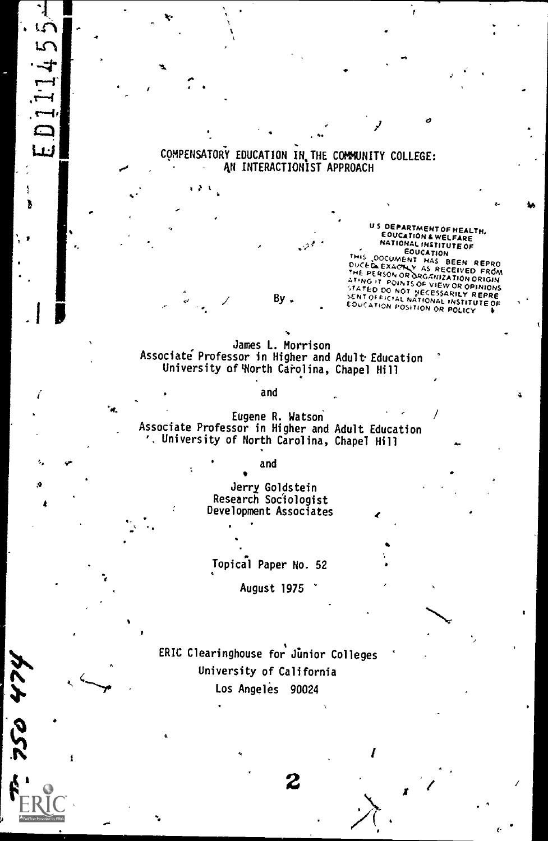# COMPENSATORY EDUCATION IN THE COMMUNITY COLLEGE:<br>AN INTERACTIONIST APPROACH

دحزما

k

 $L$   $\sim$   $\blacksquare$ 

न्

 $\blacksquare$ 

so

**124 0SC** 

<sup>1HIS</sup> DOCUMENT HAS BEEN REPRO<br>DUCED EXACTLY AS RECEIVED FROM<br>THE PERSON OR DROGINIZATION ORIGIN<br>ATING IT POINTS OF WITH THE REPRO STATED C,0 NOT VECESSARMY R EPRE By . ,0. Of PK,AL NATIONAL EW OR OPINIONS US DEPARTMENT OF HEALTH,<br>EOUCATION 4 WELFARE<br>NATIONAL INSTITUTE OF NATIONAL INSTITUTE OF EDUCATION POSITION OR POLICY

slo

James L. Morrison Associate Professor in Higher and Adult Education University of Worth Carolina, Chapel Hill

#### and

Eugene R. Watson Associate Professor in Higher and Adult Education '. University of North Carolina, Chapel Hill

#### and

Jerry Goldstein Research Sociologist Development Associates

### Topical Paper No. 52

August 1975

ERIC Clearinghouse for Junior Colleges University of California Los Angeles 90024

 $2 \left| \frac{1}{2} \right|$ 

I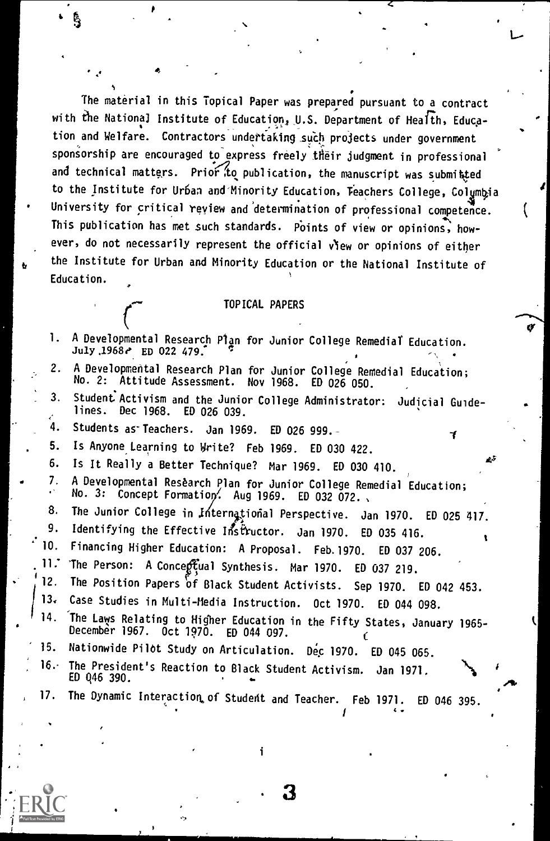The material in this Topical Paper was prepared pursuant to a contract with the National Institute of Education, U.S. Department of Health, Education and Welfare. Contractors undertaking such projects under government sponsorship are encouraged to express freely their judgment in professional and technical matters. Prior to publication, the manuscript was submitted to the Institute for Urban and Minority Education, Teachers College, Colymbia University for critical review and determination of professional competence. This publication has met such standards. Points of view or opinions, however, do not necessarily represent the official v'ew or opinions of either the Institute for Urban and Minority Education or the National Institute of Education.

41.

L-

TOPICAL PAPERS C 4' OF CALL PAPERS C 4' OF CALL PAPERS 1. A Developmental Research Plan for Junior College Remedial Education.<br>July 1968e ED 022 479. . ,, 2. A Developmental Research Plan for Junior College Remedial Education; No. 2: Attitude Assessment. Nov 1968. ED 026 050. 3. Student Activism and the Junior College Administrator: Judicial Guidelines. Dec 1968. ED 026 039. 4. Students as Teachers. Jan 1969. ED 026 999.<br>5. Is Anyone Learning to Write? Feb 1969. ED 03 5. Is Anyone Learning to Write? Feb 1969. ED 030 422. 6. Is It Really a Better Technique? Mar 1969. ED 030 410. 7. A Developmental Research Plan for Junior College Remedial Education; No. 3: Concept Formation. Aug 1969. ED 032 072., 8. The Junior College in International Perspective. Jan 1970. ED 025 417.<br>9. Identifying the Effective Inctructor, Jan 1970. ED 025 416 9. Identifying the Effective Instructor. Jan 1970. ED 035 416.<br>10. Financing Higher Education: A Proposal. Ech 1979. ED 037.0 10. Financing Higher Education: A Proposal. Feb.1970. ED 037 206.<br>11. The Person: A Concentual Synthesis. Mar.1970. ED 037 319. 11. The Person: A Concertual Synthesis. Mar 1970. ED 037 219.<br>12. The Position Papers of Black Student Activists. Sep 1970. 12. The Position Papers of Black Student Activists. Sep 1970. ED 042 453.<br>13. Case Studies in Multi-Media Instruction. Oct 1970. ED 044 099. 13. Case Studies in Multi-Media Instruction. Oct 1970. ED 044 098.<br>14. The Laws Relating to Higher Education in the Eifty States, laws 14. The Laws Relating to Higher Education in the Fifty States, January 1965-<br>December 1967. Oct 1970. ED 044 097. C<br>15. Nationwide Pilot Study on Articulation. Dec 1970. ED 045 056 066 15. Nationwide Pilot Study on Articulation. Dec 1970. ED 045 065.<br>16. The President's Peaction to Plack Student Articles, Jr. 1971. 16. The President's Reaction to Black Student Activism. Jan 1971.<br>ED Q46 390. 17. The Dynamic Interaction of Student and Teacher. 5th 1971. 50 The Dynamic Interaction of Student and Teacher. Feb 1971. ED 046 395.

3

 $4.4.1$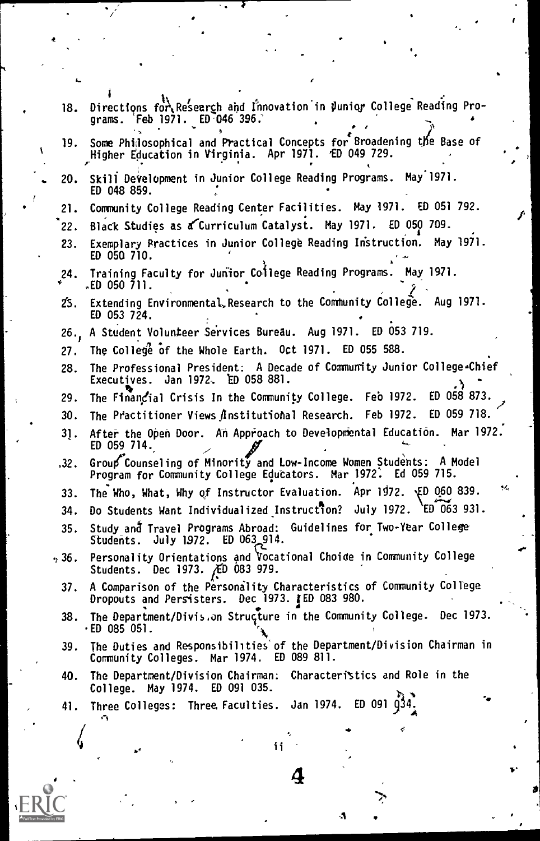|      | 18. Directions for Research and Innovation in Junior College Reading Pro-<br>grams. Feb 1971. ED 046 396.                             |
|------|---------------------------------------------------------------------------------------------------------------------------------------|
|      | 19. Some Philosophical and Practical Concepts for Broadening the Base of<br>Higher Education in Virginia. Apr 1971. ED 049 729.       |
|      | 20. Skill Development in Junior College Reading Programs. May 1971.<br>ED 048 859.                                                    |
| 21.  | Community College Reading Center Facilities. May 1971. ED 051 792.                                                                    |
| 22.  | Black Studies as a Curriculum Catalyst. May 1971. ED 050 709.                                                                         |
| 23.  | Exemplary Practices in Junior College Reading Instruction. May 1971.<br>ED 050 710.                                                   |
| 24.  | Training Faculty for Junior College Reading Programs. May 1971.<br>.ED 050 711.                                                       |
|      | 25. Extending Environmental, Research to the Community College. Aug 1971.<br>ED 053 724.                                              |
|      | 26., A Student Volunteer Services Bureau. Aug 1971. ED 053 719.                                                                       |
| 27.  | The College of the Whole Earth. Oct 1971. ED 055 588.                                                                                 |
| 28.  | The Professional President: A Decade of Community Junior College-Chief<br>Executives. Jan 1972. ED 058 881.                           |
| 29.  | The Financial Crisis In the Community College. Feo 1972.<br>ED 058 873.                                                               |
| 30.  | The Practitioner Views <i>f</i> Institutional Research. Feb 1972.<br>ED 059 718.                                                      |
| 31.  | After the Open Door. An Approach to Developmental Education. Mar 1972.<br>ED 059 714.                                                 |
| .32. | Group Counseling of Minority and Low-Income Women Students: A Model<br>Program for Community College Educators. Mar 1972. Ed 059 715. |
| 33.  | u.<br>The Who, What, Why of Instructor Evaluation. Apr 1972. ED 060 839.                                                              |
| 34.  | Do Students Want Individualized Instruction?<br>July 1972. ED 063 931.                                                                |
| 35.  | Study and Travel Programs Abroad: Guidelines for Two-Year College<br>Students. July 1972. ED 063_914.                                 |
| ,36. | Personality Orientations and Vocational Choide in Community College<br>Students. Dec 1973. AD 083 979.                                |
| 37.  | A Comparison of the Personality Characteristics of Community College<br>Dropouts and Persisters. Dec 1973. IED 083 980.               |
| 38.  | The Department/Divis.on Struçture in the Community College. Dec 1973.<br>·ED 085 051.                                                 |
| 39.  | The Duties and Responsibilities of the Department/Division Chairman in<br>Community Colleges. Mar 1974. ED 089 811.                   |
| 40.  | The Department/Division Chairman: Characteristics and Role in the<br>College. May 1974. ED 091 035.                                   |
|      | 41. Three Colleges: Three Faculties. Jan 1974. ED 091 034.                                                                            |
|      | ¢                                                                                                                                     |
|      | ii                                                                                                                                    |
|      |                                                                                                                                       |
|      | 4                                                                                                                                     |
|      |                                                                                                                                       |
|      | A,                                                                                                                                    |
|      |                                                                                                                                       |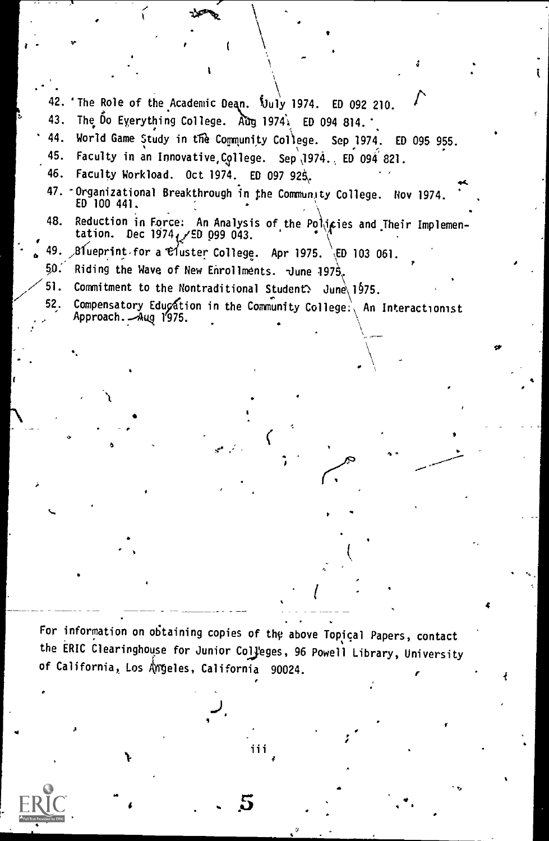42. The Role of the Academic Dean.  $\overline{\text{3}}$ uly 1974. ED 092 210. 43. The Do Everything College.  $\lambda$ ug 1974 $\lambda$  ED 094 814. 44. World Game Study in the Community College. Sep 1974. ED 095 955. 45. Faculty in an Innovative, College. Sep 1974., ED 094 821. 46. Faculty Workload. Oct 1974. ED 097 925, 47. Organizational Breakthrough in the Community College. Nov 1974.<br>ED 100 441. 48. Reduction in Force: An Analysis of the Po\\ipies and Their Implementation. Dec  $1974/\text{ED}$  099 043. 49.  $\beta$ Iueprint for a Cluster College. Apr 1975.  $\beta$ ED 103 061.  $50.$  Riding the Wave of New Enrollments. June 1975. 51. Commitment to the Nontraditional Student: June  $1975$ . 52. Compensatory Edugation in the Community College: An Interactionist Approach. Aug 1975. , a For information on obtaining copies of the above Topical Papers, contact

r e s

the ERIC Clearinghouse for Junior Colyeges, 96 Powell Library, University of California, Los Angeles, California 90024.

4

J.

A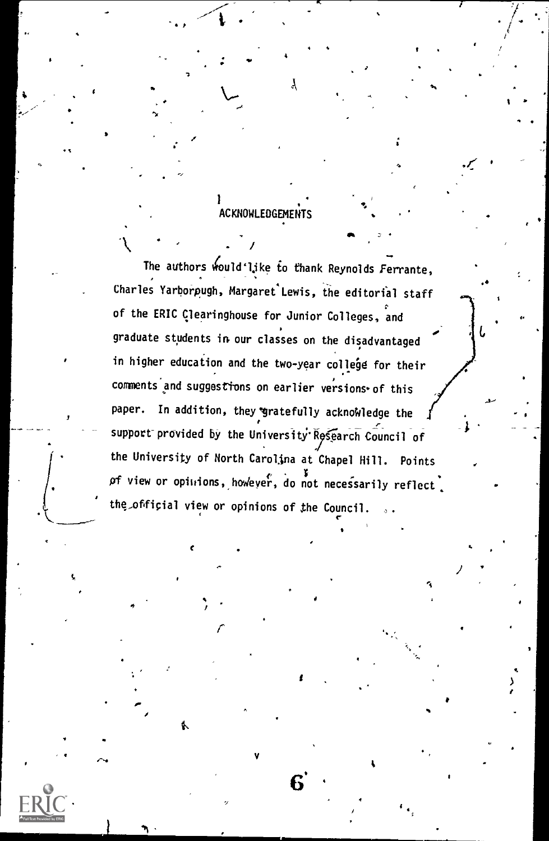## .<br>ACKNOWLEDGEMENTS

 $\mathcal{X}$  .  $\mathcal{Y}$  .  $\mathcal{Y}$  .  $\mathcal{Y}$ 

r

do

ti

The authors would'like to thank Reynolds Ferrante, Charles Yarborpugh, Margaret Lewis, the editorial staff of the ERIC Clearinghouse for Junior Colleges, and graduate students in our classes on the disadvantaged in higher education and the two-year college for their comments and suggestions on earlier versions of this paper. In addition, they gratefully acknowledge the support provided by the University Research Council of the University of North Carolina at Chapel Hill. Points of view or opinions, however, do not necessarily reflect, the official view or opinions of the Council.

 $r = \frac{1}{2}$ 

V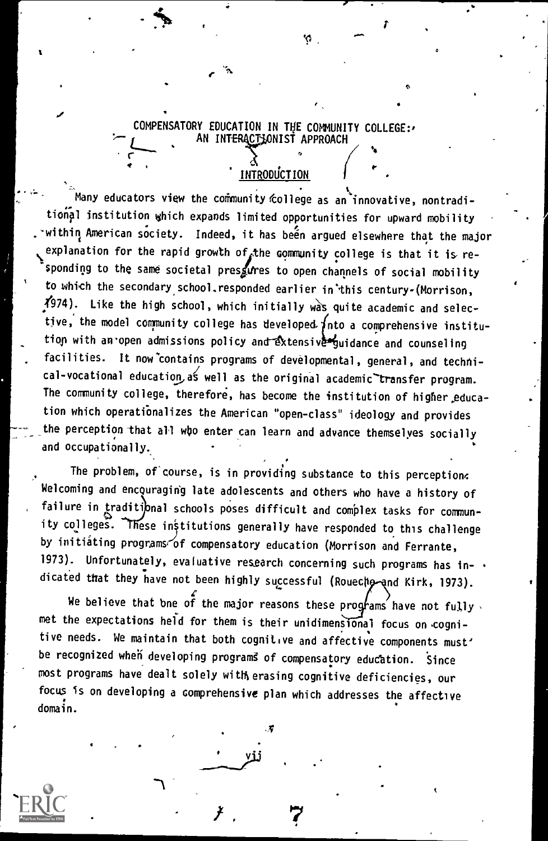#### COMPENSATORY EDUCATION IN THE COMMUNITY COLLEGE:, AN INTERACTIONIST APPROACH

INTRODUCTION

O,

 $\frac{1}{4}$  .  $\frac{1}{4}$  respectively.

Many educators view the community (college as an' innovative, nontraditional institution which expands limited opportunities for upward mobility . within American society. Indeed, it has been argued elsewhere that the major explanation for the rapid growth of the community college is that it is responding to the same societal presfires to open channels of social mobility to which the secondary school.responded earlier in'this century-(Morrison,  $\sqrt[4]{274}$ . Like the high school, which initially was quite academic and selective, the model community college has developed  $f$ nto a comprehensive institution with an open admissions policy and extensive yuidance and counseling facilities. It now contains programs of developmental, general, and technical-vocational education as well as the original academic transfer program. The community college, therefore, has become the institution of higher.education which operatiOnalizes the American "open-class" ideology and provides the perception that all wbo enter can learn and advance themselves socially and occupationally.

The problem, of course, is in providing substance to this perception. Welcoming and encouraging late adolescents and others who have a history of failure in traditional schools poses difficult and complex tasks for community colleges. These institutions generally have responded to this challenge by initiating programs of compensatory education (Morrison and Ferrante, 1973). Unfortunately, evaluative research concerning such programs has indicated that they have not been highly successful (Rouechp and Kirk, 1973).

We believe that bne of the major reasons these programs have not fully met the expectations held for them is their unidimensional focus on cognitive needs. We maintain that both cognitive and affective components must' be recognized when developing programs of compensatory education. Since most programs have dealt solely witHierasing cognitive deficiencies, our focus is on developing a comprehensive plan which addresses the affective domain.

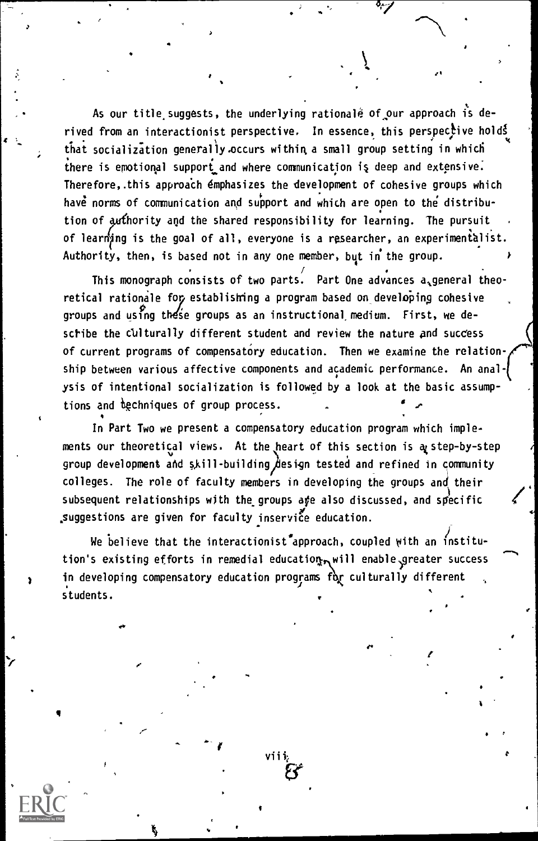As our title suggests, the underlying rationale of our approach is derived from an interactionist perspective. In essence, this perspective holds that socialization generally occurs within a small group setting in which there is emotional support and where communication is deep and extensive. Therefore, this approach emphasizes the development of cohesive groups which have norms of communication and support and which are open to the distribution of authority and the shared responsibility for learning. The pursuit of learning is the goal of all, everyone is a researcher, an experimentalist. Authority, then, is based not in any one member, but in the group.

This monograph consists of two parts. Part One advances a general theoretical rationale fop establishing a program based on developing cohesive groups and using these groups as an instructional medium. First, we describe the culturally different student and review the nature and success of current programs of compensatory education. Then we examine the relationship between various affective components and academic performance. An analysis of intentional socialization is followed by a look at the basic assumptions and dechniques of group process.

In Part Two we present a compensatory education program which implements our theoretical views. At the heart of this section is a step-by-step group development and skill-building  $\dot{\beta}$ esign tested and refined in community colleges. The role of faculty members in developing the groups and their subsequent relationships with the groups are also discussed, and specific .suggestions are given for faculty inservice education.

We believe that the interactionist<sup>t</sup>approach, coupled with an institution's existing efforts in remedial education will enable greater success in developing compensatory education programs for culturally different students.

viii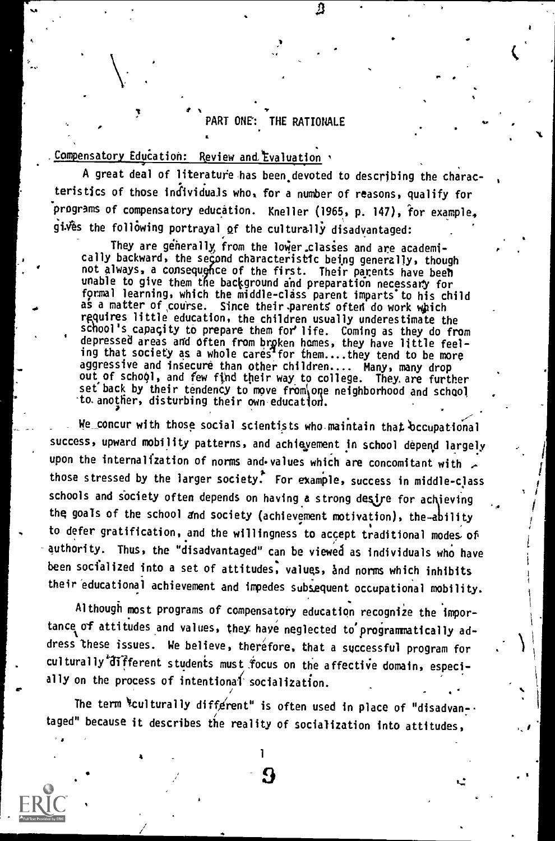### PART ONE': THE RATIONALE

### Compensatory Education: Review and Evaluation '

A great deal of literature has been devoted to describing the characteristics of those individuals who, for a number of reasons, qualify for programs of compensatory education. Kneller (1965, p. 147), for example.  $g$ i $\hat{w}$ es the following portrayal of the culturally disadvantaged:

They are generally from the lower classes and are academically backward, the second characteristic being generally, though not always, a consequence of the first. Their parents have been<br>unable to give them the background and preparation necessary for<br>formal learning, which the middle-clice parent imparts to this shill not always, a consequence of the first. Their parents have been formal learning, which the middle-class parent imparts to his child as a matter of course. Since their parents often do work which requires little education, the children usually underestimate the school's capacity to prepare them fore life. Coming as they do from depressed areas and often from brpken homes, they have little feeling that society as a whole cares for them....they tend to be more aggressive and insecure than other children.... Many, many drop out of school, and few find their way to college. They are further set back by their tendency to move from one neighborhood and school to another, disturbing their own education.

We concur with those social scientists who maintain that occupational success, upward mobility patterns, and achievement in school depend largely upon the internalization of norms and values which are concomitant with , those stressed by the larger society. For example, success in middle-class schools and society often depends on having a strong desire for achieving the goals of the school and society (achievement motivation), the-ability to defer gratification, and the willingness to accept traditional modes. of authority. Thus, the "disadvantaged" can be viewed as individuals who have been socialized into a set of attitudes, values, and norms which inhibits their educational achievement and impedes subsequent occupational mobility.

Although most programs of compensatory education recognize the importance of attitudes and values, they have neglected to'programmatically address these issues. We believe, therefore, that a successful program for culturally different students must focus on the affective domain, especially on the process of intentional socialization.

The term "culturally different" is often used in place of "disadvantaged" because it describes the reality of socialization into attitudes,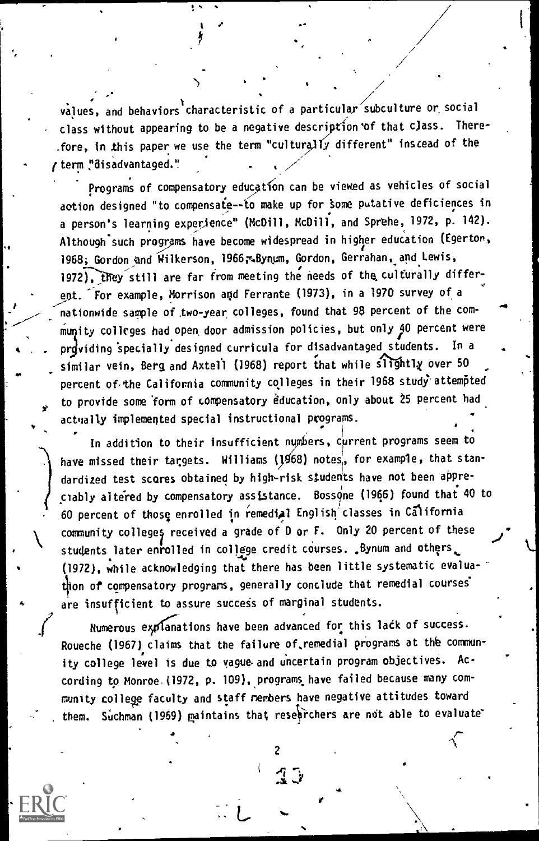values, and behaviors characteristic of a particular subculture or social class without appearing to be a negative description of that class. Therefore, in this paper we use the term "culturalfy different" instead of the (term "disadvantaged." - /'

 $\ddot{\phantom{1}}$ 

Programs of compensatory education can be viewed as vehicles of social action designed "to compensate -- to make up for some putative deficiences in a person's learning experience" (McDill, McDill, and Sprehe, 1972, p. 142). Although-such programs have become widespread in higher education (Egerton, 1968; Gordon and Wilkerson, 1966; Bynum, Gordon, Gerrahan, and Lewis, 1972), they still are far from meeting the needs of the culturally different. 'For example, Morrison and Ferrante (1973), in a 1970 survey of a nationwide sample of two-year colleges, found that 98 percent of the community colleges had open, door admission policies, but only 140 percent were providing specially designed curricula for disadvantaged students. In a similar vein, Berg and Axtell (1968) report that while slightly over 50 percent of the California community colleges in their 1968 study attempted to provide some form of compensatory education, only about 25 percent had actually implemented special instructional programs.

P

In addition to their insufficient numbers, current programs seem to have missed their targets. Williams ( $1968$ ) notes, for example, that standardized test scores obtained by high-risk students have not been appreciably altered by compensatory assistance. Bossone (1966) found that 40 to 60 percent of those enrolled in remediAl English classes in California community colleges received a grade of D or F. Only 20 percent of these students later enrolled in college credit courses. Bynum and others. (1972), while acknowledging that there has been little systematic evaluation of compensatory programs, generally conclude that remedial courses are insufficient to assure success of marginal students.

Numerous explanations have been advanced for this lack of success. Roueche (1967) claims that the failure of,remedial progrars at the commun ity college level is due to vague. and uncertain program objectives. Ac cording to Monroe (1972, p. 109), programs have failed because many community college faculty and staff rembers have negative attitudes toward them. Suchman (1969) maintains that researchers are not able to evaluate

 $\epsilon$ 

 $\mathbb{R} \rightarrow$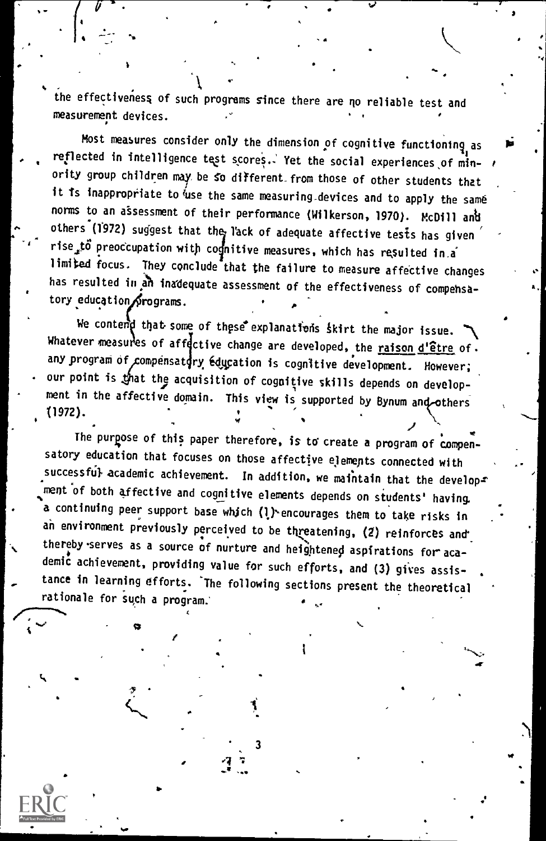.<br>the effectiveness of such programs since there are no reliable test and measurement devices. .

Most measures consider only the dimension of cognitive functioning as reflected in intelligence test scores. Yet the social experiences of minority group children may be so different from those of other students that it is inappropriate to use the same measuring devices and to apply the same norms to an assessment of their performance (Wilkerson, 1970). McDill anti others (1972) suggest that the l'ack of adequate affective tests has given limited focus. They conclude that the failure to measure affective changes rise to preoccupation with cognitive measures, which has resulted in.a has resulted in an inadequate assessment of the effectiveness of compensatory education Srograms.

\*

we contemp that some of these explanatiens skirt the major issue. any program of compensatory education is cognitive development. However; Whatever measures of affective change are developed, the raison d'être of. our point is that the acquisition of cognitive skills depends on development in the affective domain. This view is supported by Bynum and others<br>(1972). (1972).  $\downarrow$ 

The purpose of this paper therefore, is to create a program of compen satory education that focuses on those affective elements connected with successful academic achievement. In addition, we maintain that the develops 'ment of both affective and cognitive elements depends on students' having. a continuing peer support base which (l) encourages them to take risks in an environment previously perceived to be threatening, (2) reinforces and thereby serves as a source of nurture and heightened aspirations for academic achievement, providing value for such efforts, and (3) gives assistance in learning efforts. The following sections present the theoretical rationale for such a program.'

3

 $\mathbf{L}$  and  $\mathbf{L}$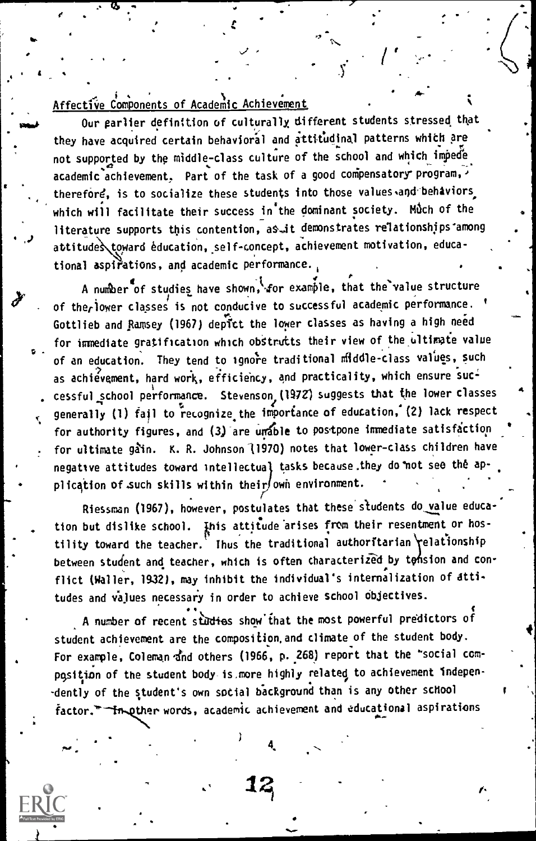### Affective Components of Academic Achievement

Our earlier definition of culturally, different students stressed that they have acquired certain behavioral and attitudinal patterns which are not supported by the middle-class culture of the school and which impede  $a$ cademic achievement, Part of the task of a good compensatory program, therefore, is to socialize these students into those values and behaviors which will facilitate their success in the dominant society. Much of the literature supports this contention, as it demonstrates relationships among attitude toward education, self - concept, achievement motivation, educational aspirations, and academic performance.<sub>,</sub>

.

. I.e. the contract of the contract of  $\mathcal{F}$ A number of studies have shown, for example, that the value structure and  $\blacksquare$ of therlower classes is not conducive to successful academic performance. ' Gottlieb and Ramsey (1967) depict the lower classes as having a high need  $\hskip1cm$ for immediate gratification which obstrutts their view of the ultimate value of an education. They tend to ignore traditional middle-class values, such as achievement, hard work, efficiency, and practicality, which ensure successful school performance. Stevenson, (1972) suggests that the lower classes generally (1) fail to recognize the importance of education, (2) lack respect for authority figures, and (3) are unable to postpone immediate satisfaction for ultimate gain. K. R. Johnson (1970) notes that lower-class children have negative attitudes toward intellectual tasks because.they do not see the application of such skills within their own environment.

r Riessman (1967), however, postulates that these students do value educe tion but dislike school. Inis attitude arises from their resentment or hostility toward the teacher. Thus the traditional authoritarian relationship between student and teacher, which is often characterized by tonsion and conflict (Waller, 1932), may inhibit the individual's internalization of attitudes and values necessary in order to achieve school Objectives.

A number of recent studies show that the most powerful predictors of student achievement are the composition.and climate of the student body. For example, Coleman and others (1966, p. 268) report that the "social compqsition of the student body is.more highly related to achievement Independently of the student's own social background than is any other school factor."-Im other words, academic achievement and educational aspirations

4.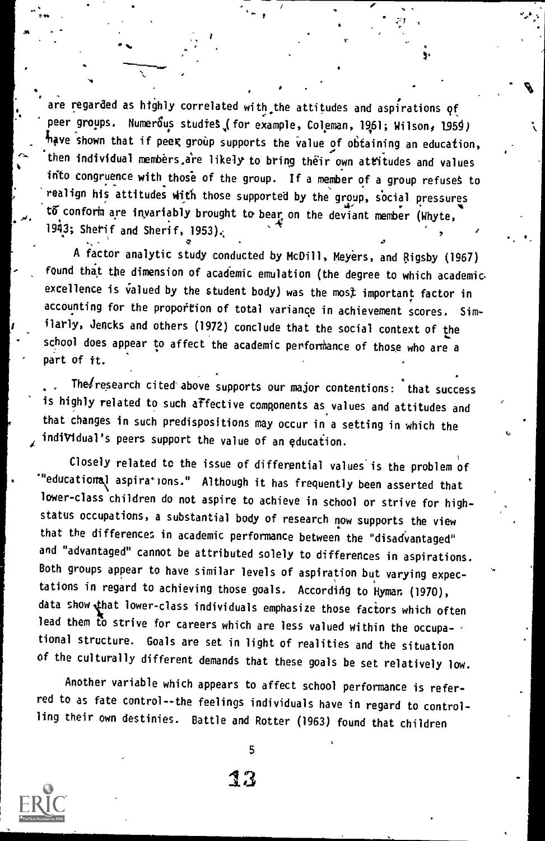are regarded as highly correlated with the attitudes and aspirations of peer groups. Numerous studies (for example, Coleman, 1961; Wilson, 1959) have shown that if peek group supports the value of obtaining an education, then individual members are likely to bring their own attitudes and values into congruence with those of the group. If a member of a group refuses to realign his attitudes with those supported by the group, social pressures to conform are invariably brought to bear on the deviant member (Whyte, 1943; Sherif and Sherif, 1953).

\*,

A factor analytic study conducted by McDill, Meyers, and Rigsby (1961) found that the dimension of academic emulation (the degree to which academic excellence is valued by the student body) was the most important factor in accounting for the proportion of total variance in achievement scores. Similarly, Jencks and others (1972) conclude that the social context of the school does appear to affect the academic performance of those who are a part of it.

The/research cited-above supports our major contentions: that success is highly related to such affective components as values and attitudes and that changes in such predispositions may occur in a setting in which the indiVidual's peers support the value of an education.

Closely related to the issue of differential values'is the problem of "educational aspirations." Although it has frequently been asserted that lower-class children do not aspire to achieve in school or strive for highstatus occupations, a substantial body of research now supports the view that the differences in academic performance between the "disadvantaged" and "advantaged" cannot be attributed solely to differences in aspirations. Both groups appear to have similar levels of aspiration but varying expectations in regard to achieving those goals. According to Hyman (1970), data show that lower-class individuals emphasize those factors which often lead them to strive for careers which are less valued within the occupational structure. Goals are set in light of realities and the situation of the culturally different demands that these goals be set relatively low.

Another variable which appears to affect school performance is referred to as fate control--the feelings individuals have in regard to controlling their own destinies. Battle and Rotter (1963) found that children

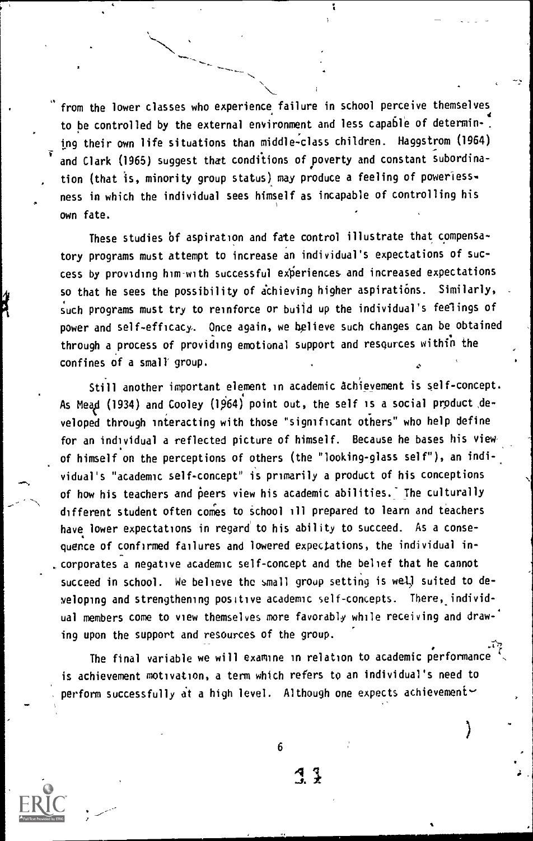from the lower classes who experience failure in school perceive themselves to be controlled by the external environment and less capable of determining their own life situations than middle-class children. Haggstrom (1964) and Clark (1965) suggest that conditions of poverty and constant subordination (that is, minority group status) may produce a feeling of poweriessness in which the individual sees himself as incapable of controlling his own fate.

These studies of aspiration and fate control illustrate that compensatory programs must attempt to increase an individual's expectations of success by providing him with successful experiences and increased expectations so that he sees the possibility of achieving higher aspirations. Similarly, such programs must try to reinforce or build up the individual's feelings of power and self-efficacy,. Once again, we helieve such changes can be obtained through a process of providing emotional support and resqurces within the confines of a small group.

Still another important element in academic achievement is self-concept. As Mead (1934) and Cooley (1964) point out, the self is a social product developed through interacting with those "significant others" who help define for an individual a reflected picture of himself. Because he bases his view of himself on the perceptions of others (the "looking-glass self"), an individual's "academic self-concept" is primarily a product of his conceptions of how his teachers and peers view his academic abilities. The culturally different student often comes to school ill prepared to learn and teachers have lower expectations in regard' to his ability to succeed. As a consequence of confirmed failures and lowered expectations, the individual incorporates a negative academic self-concept and the belief that he cannot succeed in school. We believe the small group setting is well suited to developing and strengthening positive academic self-concepts. There, individual members come to view themselves more favorably while receiving and drawing upon the support and resources of the group.

The final variable we will examine in relation to academic performance is achievement motivation, a term which refers to an individual's need to perform successfully at a high level. Although one expects achievement $\sim$ 

6

 $\mathcal{A}$  }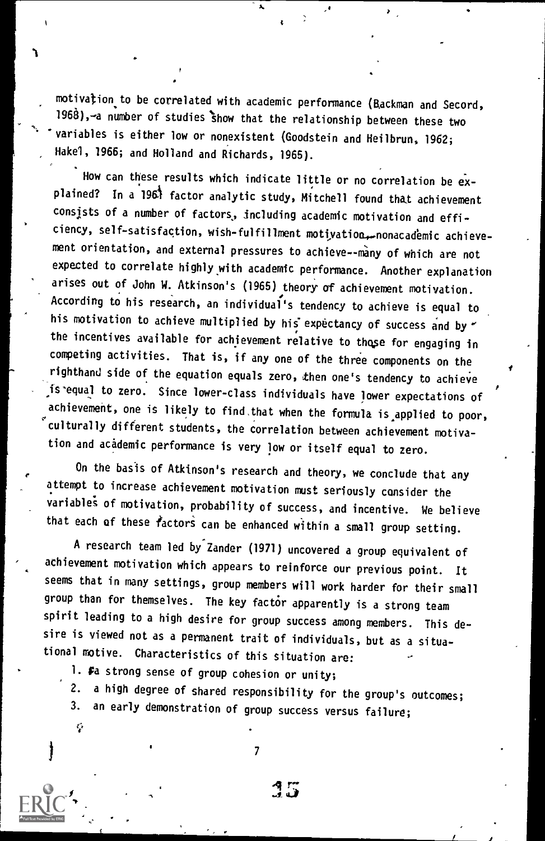motivation to be correlated with academic performance (Backman and Secord, 1968),—a number of studies show that the relationship between these two variables is either low or nonexistent (Goodstein and Heilbrun, 1962; Hakel, 1966; and Holland and Richards, 1965).

How can these results which indicate little or no correlation be explained? In a 1961 factor analytic study, Mitchell found that achievement consists of a number of factors, including academic motivation and efficiency, self-satisfaction, wish-fulfillment motivation, nonacademic achievement orientation, and external pressures to achieve--many of which are not expected to correlate highly with academic performance. Another explanation arises out of John W. Atkinson's (1965) theory of achievement motivation. According to his research, an individual's tendency to achieve is equal to his motivation to achieve multiplied by his expectancy of success and by  $\sim$ the incentives available for achievement relative to those for engaging in competing activities. That is, if any one of the three components on the righthand side of the equation equals zero, then one's tendency to achieve is-equal to zero. Since lower-class individuals have lower expectations of achievement, one is likely to find.that when the formula is applied to poor, culturally different students, the correlation between achievement motivation and academic performance is very low or itself equal to zero.

On the basis of Atkinson's research and theory, we conclude that any attempt to increase achievement motivation must seriously consider the variable; of motivation, probability of success, and incentive. We believe that each of these factors can be enhanced within a small group setting.

A research team led by Zander (1971) uncovered a group equivalent of achievement motivation which appears to reinforce our previous point. It seems that in many settings, group members will work harder for their small group than for themselves. The key factor apparently is a strong team spirit leading to a high desire for group success among members. This desire is viewed not as a permanent trait of individuals, but as a situational motive. Characteristics of this situation are:

1. Fa strong sense of group cohesion or unity;

r.

2. a high degree of shared responsibility for the group's outcomes;

3. an early demonstration of group success versus failure;

 $\mathcal{T}$  and  $\mathcal{T}$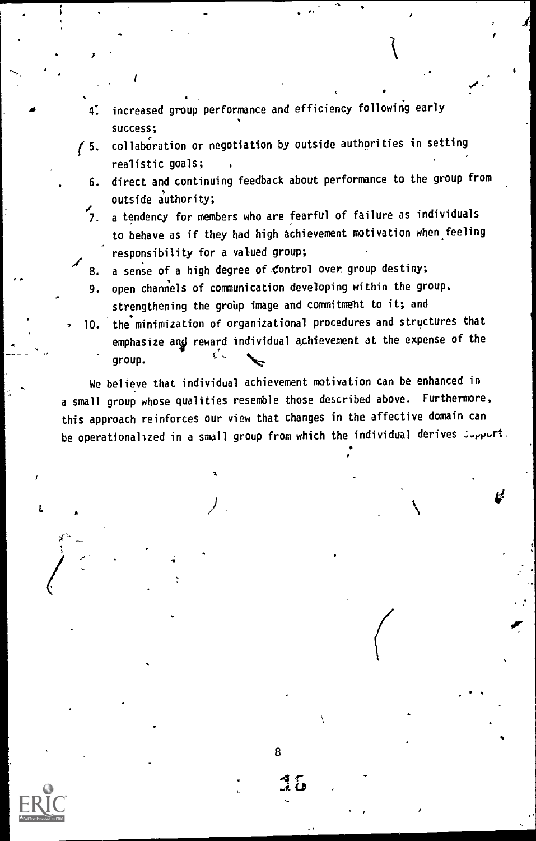- 4: increased group performance and efficiency following early success;
- $f$  5. collaboration or negotiation by outside authorities in setting realistic goals;
	- 6. direct and continuing feedback about performance to the group from outside authority;

 $\mathbf{a}^{\mathbf{v}}$  of  $\mathbf{a}^{\mathbf{v}}$ 

- 7. a tendency for members who are fearful of failure as individuals to behave as if they had high achievement motivation when feeling responsibility for a valued group;
- 8. a sense of a high degree of control over group destiny;
- 9. open channels of communication developing within the group, strengthening the group image and commitment to it; and
- 10. 'the minimization of organizational procedures and structures that emphasize and reward individual achievement at the expense of the group.

We believe that individual achievement motivation can be enhanced in a small group whose qualities resemble those described above. Furthermore, this approach reinforces our view that changes in the affective domain can be operationalized in a small group from which the individual derives  $\mathcal{I}_{\text{upput}}$ .



8

 $35\,$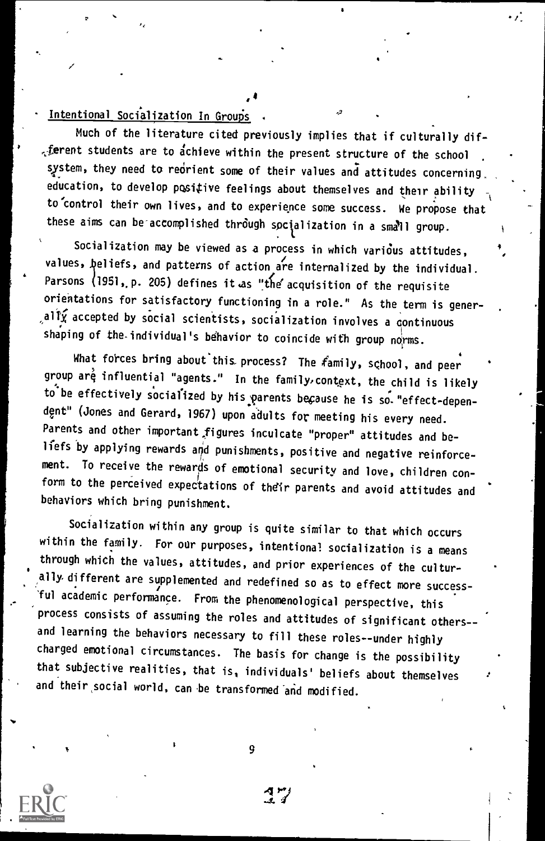### Intentional Socialization In Groups

Much of the literature cited previously implies that if culturally dif- $\epsilon$  ferent students are to achieve within the present structure of the school system, they need to reorient some of their values and attitudes concerning. education, to develop positive feelings about themselves and their ability to control their own lives, and to experience some success. We propose that these aims can be accomplished through socialization in a small group.

Socialization may be viewed as a process in which various attitudes, values, beliefs, and patterns of action are internalized by the individual. Parsons  $(1951, p. 205)$  defines it as "the acquisition of the requisite orientations for satisfactory functioning in a role." As the term is gener- $\alpha$ all $\hat{\mathbf{y}}$  accepted by social scientists, socialization involves a continuous shaping of the individual's behavior to coincide with group norms.

What forces bring about'this process? The family, school, and peer group are influential "agents." In the family, context, the child is likely to be effectively socialized by his parents because he is so. "effect-dependent" (Jones and Gerard, 1967) upon adults for meeting his every need. Parents and other important figures inculcate "proper" attitudes and beliefs by applying rewards and punishments, positive and negative reinforcement. To receive the rewards of emotional security and love, children conform to the perceived expectations of their parents and avoid attitudes and behaviors which bring punishment.

Socialization within any group is quite similar to that which occurs within the family. For our purposes, intentional socialization is a means through which the values, attitudes, and prior experiences of the culturelly,different are supplemented and redefined so as to effect more successful academic performance. From the phenomenological perspective, this process consists of assuming the roles and attitudes of significant others- and learning the behaviors necessary to fill these roles--under highly charged emotional circumstances. The basis for change is the possibility that subjective realities, that is, individuals' beliefs about themselves and their,social world, can be transformed and modified.

9

1 MJ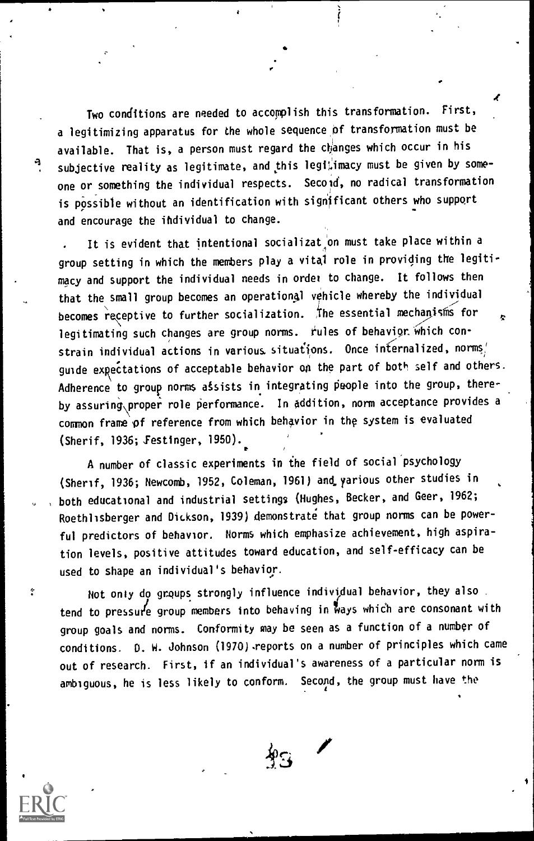Two conditions are needed to accomplish this transformation. First, a legitimizing apparatus for the whole sequence of transformation must be available. That is, a person must regard the changes which occur in his subjective reality as legitimate, and this legitimacy must be given by someone or something the individual respects. Second, no radical transformation is possible without an identification with significant others who support and encourage the ihdividual to change.

It is evident that intentional socializat on must take place within a group setting in which the members play a vital role in providing the legitimacy and support the individual needs in order to change. It follows then that the small group becomes an operational vehicle whereby the individual becomes receptive to further socialization. The essential mechanisms for legitimating such changes are group norms. rules of behavior which constrain individual actions in various situations. Once internalized, norms/ guide expectations of acceptable behavior on the part of both self and others. Adherence to group norms assists in integrating people into the group, thereby assuring\proper role performance. In addition, norm acceptance provides a common frame pf reference from which behavior in the system is evaluated (Sherif, 1936; Festinger, 1950).

A number of classic experiments in the field of social'psychology (Sherif, 1936; Newcomb, 1952, Coleman, 1961) and,yarious other studies in , both educational and industrial settings (Hughes, Becker, and Geer, 1962; Roethlisberger and Dickson, 1939) demonstrate that group norms can be powerful predictors of behavior. Norms which emphasize achievement, high aspiration levels, positive attitudes toward education, and self-efficacy can be used to shape an individual's behavior.

Not only do groups strongly influence individual behavior, they also. tend to pressure group members into behaving in ways which are consonant with group goals and norms. Conformity may be seen as a function of a number of conditions. O. W. Johnson (1970).reports on a number of principles which came out of research. First, if an individual's awareness of a particular norm is ambiguous, he is less likely to conform. Second, the group must have the



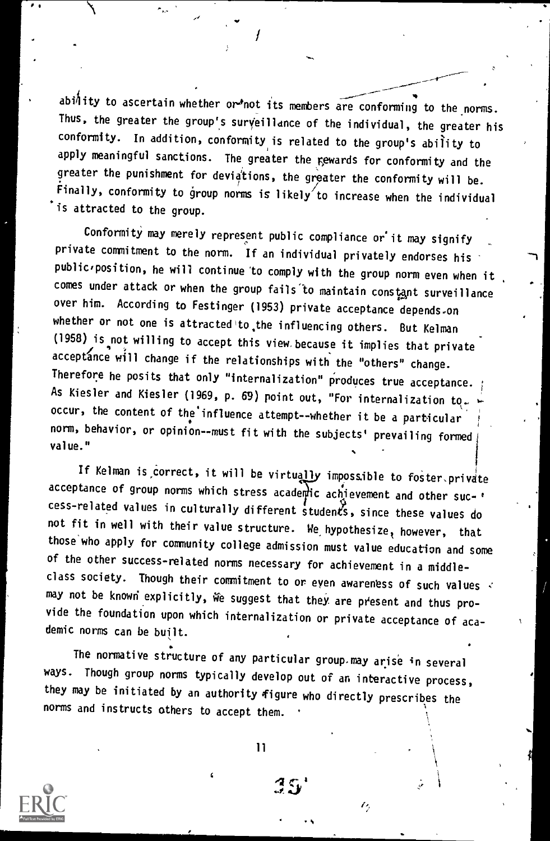ability to ascertain whether or not its members are conforming to the norms. Thus, the greater the group's surveillance of the individual, the greater his conformity. In addition, conformity is related to the group's ability to apply meaningful sanctions. The greater the rewards for conformity and the greater the punishment for deviations, the greater the conformity will be. Finally, conformity to group norms is likely to increase when the individual 'is attracted to the group.

Conformity may merely represent public compliance or it may signify private commitment to the norm. If an individual privately endorses his  $public$ , position, he will continue to comply with the group norm even when it comes under attack or when the group fails to maintain constant surveillance over him. According to Festinger (1953) private acceptance depends.on whether or not one is attracted to, the influencing others. But Kelman (1958) is not willing to accept this view because it implies that private acceptance will change if the relationships with the "others" change. Therefore he posits that only "internalization" produces true acceptance. As Kiesler and Kiesler (1969, p. 69) point out, "For internalization to. occur, the content of the influence attempt--whether it be a particular norm, behavior, or opinion--must fit with the subjects' prevailing formed value."

If Kelman is correct, it will be virtually impossible to foster.private acceptance of group norms which stress academic achievement and other suc-' cess-related values in culturally different students, since these values do not fit in well with their value structure. We hypothesize, however, that those who apply for community college admission must value education and some of the other success-related norms necessary for achievement in a middleclass society. Though their commitment to or even awareness of such values  $\prec$ may not be known explicitly, we suggest that they are present and thus provide the foundation upon which internalization or private acceptance of academic norms can be built.

The normative structure of any particular group,may arise in several ways. Though group norms typically develop out of an interactive process, they may be initiated by an authority figure who directly prescribes the norms and instructs others to accept them.



11

35'

ı,

.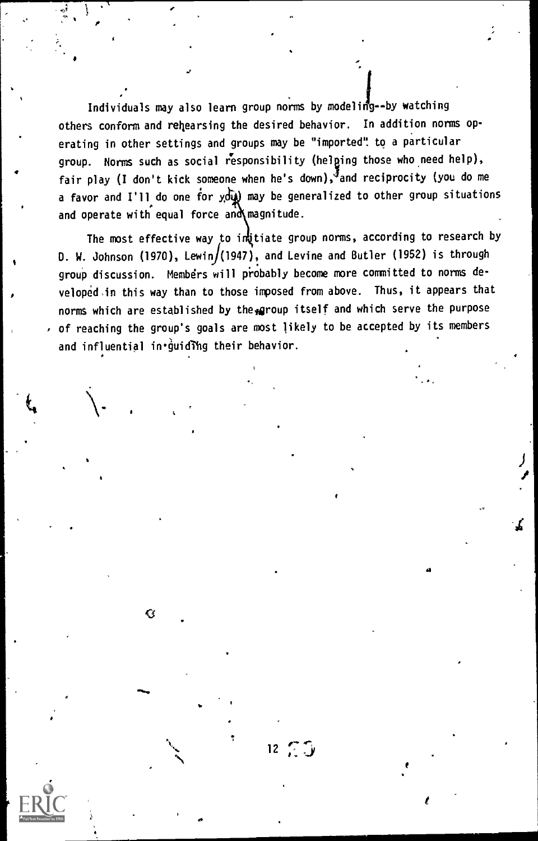Individuals may also learn group norms by modeling--by watching others conform and rehearsing the desired behavior. In addition norms operating in other settings and groups may be "imported': to a particular group. Norms such as social responsibility (helping those who need help), fair play (I don't kick someone when he's down), and reciprocity (you do me a favor and I'll do one for you may be generalized to other group situations and operate with equal force and magnitude.

The most effective way to inditiate group norms, according to research by D. W. Johnson (1970), Lewin/(1947), and Levine and Butler (1952) is through group discussion. Members will probably become more committed to norms developed,in this way than to those imposed from above. Thus, it appears that norms which are established by the group itself and which serve the purpose of reaching the group's goals are most likely to be accepted by its members and influential in *guiding* their behavior.

 $12 \n\mathcal{L} \mathcal{L}$ 

Ġ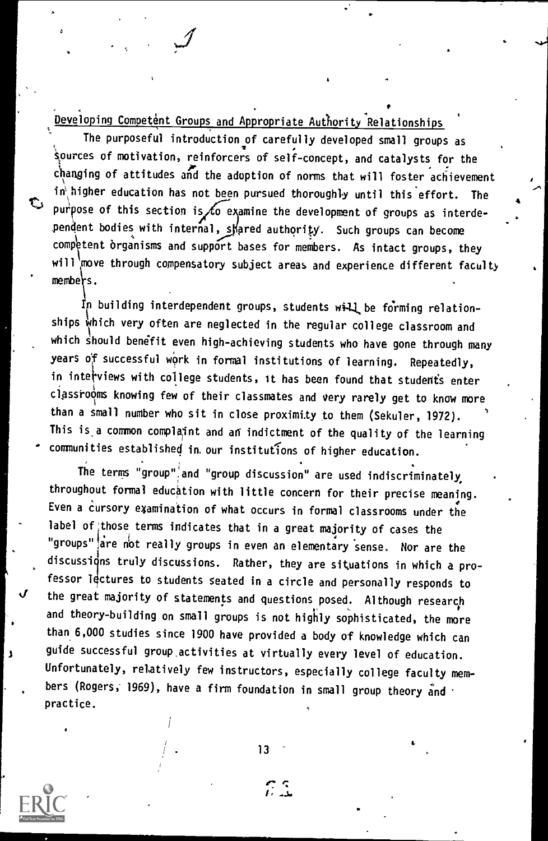Developing Competent Groups and Appropriate Authority Relationships '

The purposeful introduction of carefully developed small groups as ipurces of motivation, reinforcers of self-concept, and catalysts for the changing of attitudes and the adoption of norms that will foster achievement in higher education has not been pursued thoroughly until this effort. The In higher education has not been pursued thoroughly until this effort. The purpose of this section is to examine the development of groups as interdependent bodies with internal, skared authority. Such groups can become competent organisms and support bases for members. As intact groups, they will move through compensatory subject areas and experience different faculty members.

In building interdependent groups, students will be forming relationships which very often are neglected in the regular college classroom and which should benefit even high-achieving students who have gone through many years of successful work in formal institutions of learning. Repeatedly, in interviews with college students, it has been found that students enter classrooms knowing few of their classmates and very rarely get to know more than a small number who sit in close proximity to them (Sekuler, 1972). This is a common complaint and an indictment of the quality of the learning - communities established in. our institutions of higher education.

The terms "group" and "group discussion" are used indiscriminately, throughout formal education with little concern for their precise meaning. Even a Cursory examination of what occurs in formal classrooms under the label of those terms indicates that in a great majority of cases the "groups" are not really groups in even an elementary sense. Nor are the discussions truly discussions. Rather, they are situations in which a professor lectures to students seated in a circle and personally responds to the great majority of statements and questions posed. Although research and theory-building on small groups is not highly sophisticated, the more than 6,000 studies since 1900 have provided a body of knowledge which can guide successful group activities at virtually every level of education. Unfortunately, relatively few instructors, especially college faculty members (Rogers, 1969), have a firm foundation in small group theory and  $\cdot$ practice.

13

εs

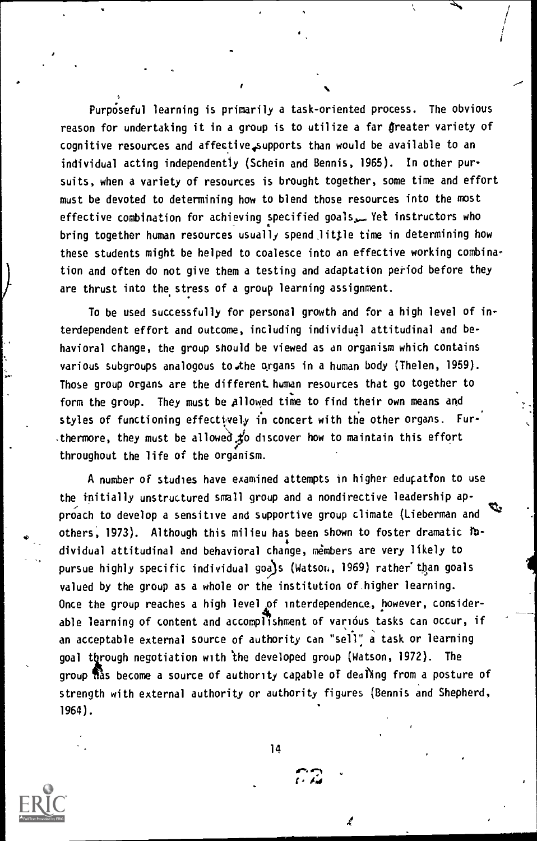Purposeful learning is primarily a task-oriented process. The obvious reason for undertaking it in a group is to utilize a far greater variety of cognitive resources and affective4supports than would be available to an individual acting independently (Schein and Bennis, 1965). In other pursuits, when a variety of resources is brought together, some time and effort must be devoted to determining how to blend those resources into the most effective combination for achieving specified goals,\_ Yet instructors who bring together human resources usually spend little time in determining how these students might be helped to coalesce into an effective working combination and often do not give them a testing and adaptation period before they are thrust into the, stress of a group learning assignment.

To be used successfully for personal growth and for a high level of interdependent effort and outcome, including individual attitudinal and behavioral change, the group should be viewed as an organism which contains various subgroups analogous to the organs in a human body (Thelen, 1959). Those group organs are the different human resources that go together to form the group. They must be Allowed time to find their own means and styles of functioning effectively in concert with the other organs. Fur-.thermore, they must be allowed  $\sharp$ o discover how to maintain this effort throughout the life of the organism.

A number of studies have examined attempts in higher edupatfon to use the initially unstructured small group and a nondirective leadership approach to develop a sensitive and supportive group climate (Lieberman and others, 1973). Although this milieu has been shown to foster dramatic lbdividual attitudinal and behavioral change, members are very likely to pursue highly specific individual goa)s (Watson, 1969) rather' than goals valued by the group as a whole or the institution of.higher learning. Once the group reaches a high level of interdependence, however, considerable learning of content and accomplishment of various tasks can occur, if an acceptable external source of authority can "sell" a task or learning goal through negotiation with the developed group (Watson, 1972). The group has become a source of authority capable of dealing from a posture of strength with external authority or authority figures (Bennis and Shepherd, 1964).

14

 $\sim$ 

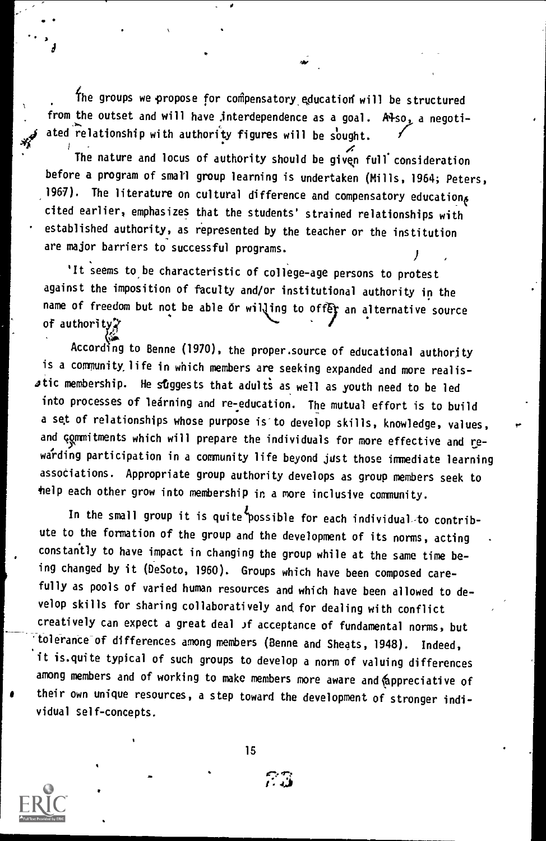The groups we propose for compensatory education will be structured from the outset and will have interdependence as a goal. Also, a negotiated relationship with authority figures will be sought.

The nature and locus of authority should be given full consideration before a program of small group learning is undertaken (Mills, 1964; Peters, 1967). The literature on cultural difference and compensatory education $_{\delta}$ cited earlier, emphasizes that the students' strained relationships with established authority, as represented by the teacher or the institution are major barriers to successful programs.

 $\mathcal{F}$  and  $\mathcal{F}$ 

It seems to be characteristic of college-age persons to protest against the imposition of faculty and/or institutional authority in the name of freedom but not be able or willing to offer an alternative source of authorit?

According to Benne (1970), the proper.source of educational authority is a community life in which members are seeking expanded and more realis $s$ tic membership. He suggests that adults as well as youth need to be led into processes of learning and re-education. The mutual effort is to build a set of relationships whose purpose is to develop skills, knowledge, values, and Gommitments which will prepare the individuals for more effective and rewarding participation in a community life beyond jdst those inmediate learning associations. Appropriate group authority develops as group members seek to telp each other grow into membership in a more inclusive community.

In the small group it is quite possible for each individual-to contribute to the formation of the group and the development of its norms, acting constantly to have impact in changing the group while at the same time being changed by it (DeSoto, 1960). Groups which have been composed carefully as pools of varied human resources and which have been allowed to develop skills for sharing collaboratively and for dealing with conflict creatively can expect a great deal )f acceptance of fundamental norms, but 'tolerance of differences among members (Benne and Sheats, 1948). Indeed, it is.quite typical of such groups to develop a norm of valuing differences among members and of working to make members more aware and appreciative of their own unique resources, a step toward the development of stronger individual self-concepts.

15



 $\mathbf{v}_i$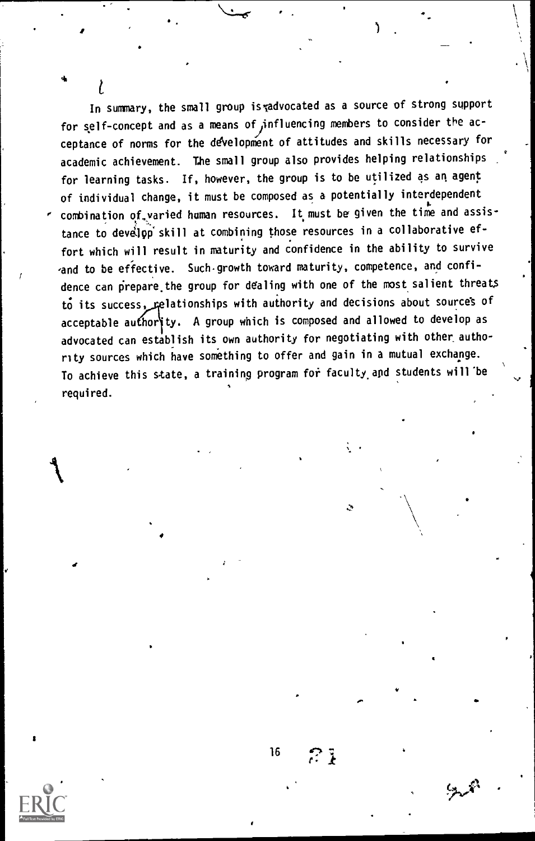In summary, the small group is radvocated as a source of strong support for self-concept and as a means of influencing members to consider the acceptance of norms for the development of attitudes and skills necessary for academic achievement. The small group also provides helping relationships for learning tasks. If, however, the group is to be utilized as an agent of individual change, it must be composed as a potentially interdependent combination of varied human resources. It must be given the time and assistance to develop skill at combining those resources in a collaborative effort which will result in maturity and confidence in the ability to survive and to be effective. Such growth toward maturity, competence, and confidence can pirepare.the group for dealing with one of the most salient threats to its success, relationships with authority and decisions about sources of acceptable authority. A group which is composed and allowed to develop as advocated can establish its own authority for negotiating with other authority sources which have something to offer and gain in a mutual exchange. To achieve this state, a training program for faculty and students will be required.

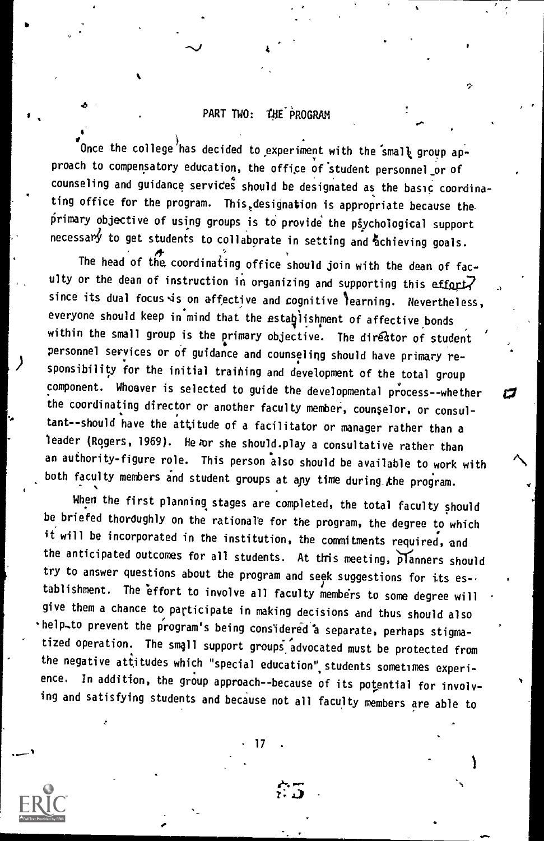### PART TWO: THE PROGRAM

4

 $\delta$  . The set of  $\delta$ 

Once the college has decided to experiment with the small group approach to compensatory education, the office of student personnel or of counseling and guidance services should be designated as the basic coordinating office for the program. This,designation is appropriate because the primary objective of using groups is to provide the psychological support necessary to get students to collaborate in setting and achieving goals.

The head of the coordinating office should join with the dean of faculty or the dean of instruction in organizing and supporting this effort. since its dual focus is on affective and cognitive learning. Nevertheless, everyone should keep in mind that the estaglishment of affective bonds within the small group is the primary objective. The director of student personnel services or of guidance and counseling . should have primary responsibility for the initial training and development of the total group  $\mathsf{component.}$  Whoever is selected to guide the developmental process--whether the coordinating director or another faculty member, counselor, or consultant--should have the attitude of a facilitator or manager rather than a leader (Rogers, 1969). He or she should.play a consultative rather than an authority-figure role. This person also should be available to work with both faculty members and student groups at any time during the program.

a

When the first planning stages are completed, the total faculty should be briefed thoroughly on the rationale for the program, the degree to which it will be incorporated in the institution, the commitments required, and the anticipated outcomes for all students. At this meeting, planners should try to answer questions about the program and seek suggestions for its establishment. The effort to involve all faculty members to some degree will give them a chance to participate in making decisions and thus should also help-to prevent the program's being considered 'a separate, perhaps stigmatized operation. The small support groups advocated must be protected from<br>the negative attitudes which "special education" students sometimes experience. In addition, the group approach--because of its potential for involving and satisfying students and because not all faculty members are able to

17

 $\mathcal{L}_{\mathcal{P}}$  . Only the contract of  $\mathcal{P}$ ر **ب**ر د

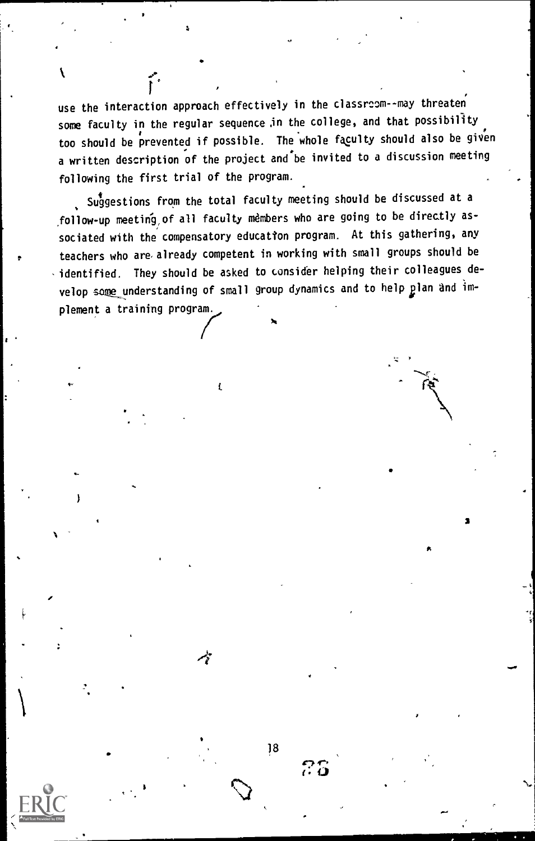use the interaction approach effectively in the classroom--may threaten some faculty in the regular sequence in the college, and that possibility too should be prevented if possible. The whole faculty should also be given a written description of the project and be invited to a discussion meeting following the first trial of the program.

Suggestions from the total faculty meeting should be discussed at a ,follow-up meeting, of all faculty members who are going to be directly associated with the compensatory education program. At this gathering, any teachers who are already competent in working with small groups should be identified. They should be asked to consider helping their colleagues develop some understanding of small group dynamics and to help plan and implement a training program.

e

18

 $\mathcal{B}5$ 

3

rm.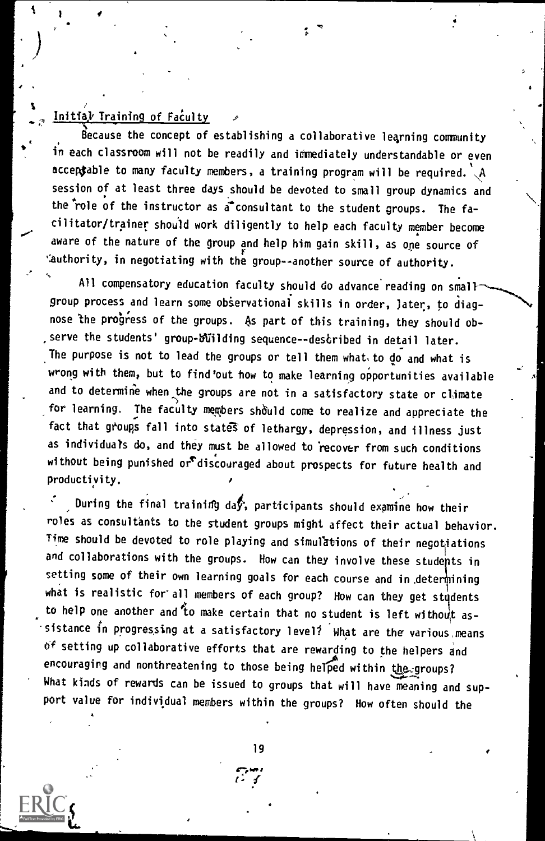### Initial Training of Faculty

1

ecause the concept of establishing a collaborative learning community in each classroom will not be readily and immediately understandable or even acceptable to many faculty members, a training program will be required.  $\mathcal{A}$ session of at least three days should be devoted to small group dynamics and the role of the instructor as a consultant to the student groups. The facilitator/trainer should work diligently to help each faculty member become aware of the nature of the group and help him gain skill, as one source of ':authority, in negotiating with the group--another source of authority.

 $\sim$  . All compensatory education faculty should do advance reading on small  $\sim$ group process and learn some observational skills in order, later, to diagnose the progress of the groups. As part of this training, they should observe the students' group-building sequence--described in detail later. The purpose is not to lead the groups or tell them what to do and what is wrong with them, but to find'out how to make learning opportunities available and to determine when the groups are not in a satisfactory state or climate for learning. The faculty members should come to realize and appreciate the  $\qquad$ fact that groups fall into states of lethargy, depression, and illness just as individuals do, and they must be allowed to 'recover from such conditions without being punished or discouraged about prospects for future health and productivity.

During the final training day, participants should examine how their roles as consultants to the student groups might affect their actual behavior. Time should be devoted to role playing and simulations of their negotiations and collaborations with the groups. How can they involve these students in setting some of their own learning goals for each course and in determining what is realistic for all members of each group? How can they get students to help one another and to make certain that no student is left without assistance in progressing at a satisfactory level? What are the various means of setting up collaborative efforts that are rewarding to the helpers and encouraging and nonthreatening to those being helped within the groups? What kinds of rewards can be issued to groups that will have meaning and support value for individual members within the groups? Now often should the

19

 $\cdots$  is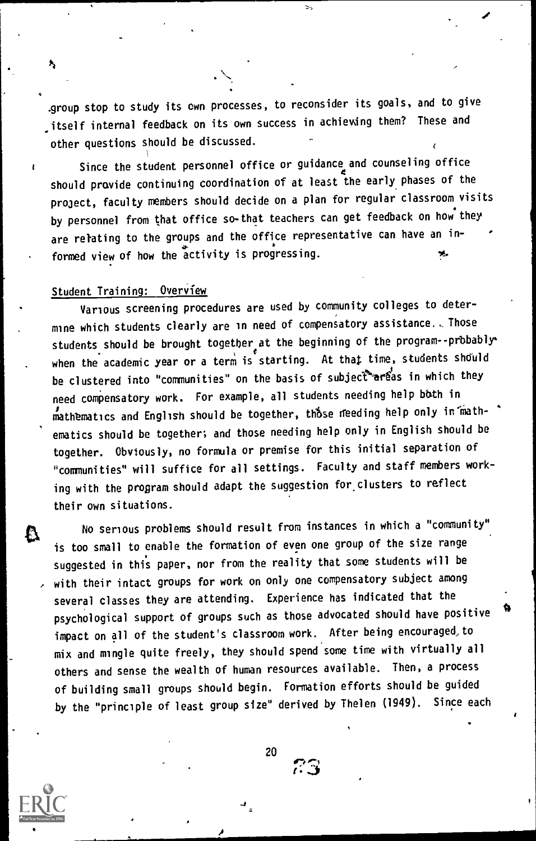.group stop to study its own processes, to reconsider its goals, and to give \_itself internal feedback on its own success in achieving them? These and other questions should be discussed.

. Y

Since the student personnel office or guidance and counseling office should provide continuing coordination of at least the early phases of the project, faculty members should decide on a plan for regular classroom visits by personnel from that office so-that teachers can get feedback on how they are relating to the groups and the office representative can have an informed view of how the activity is progressing.

### Student Training: Overview

 $\mathbf{r}$ 

Various screening procedures are used by community colleges to determine which students clearly are in need of compensatory assistance., Those students.should be brought together <sup>e</sup> at the beginning of the program -- probably when the academic year or a term is starting. At that time, students should be clustered into "communities" on the basis of subject areas in which they need compensatory work. For example, all students needing help bath in mathematics and English should be together, those needing help only in mathematics should be together; and those needing help only in English should be together. Obviously, no formula or premise for this initial separation of "communities" will suffice for all settings. Faculty and staff members working with the program should adapt the suggestion for. clusters to reflect their own situations.

No serious problems should result from instances in which a "community" is too small to enable the formation of even one group of the size range suggested in this paper, nor from the reality that some students will be with their intact groups for work on only one compensatory subject among several classes they are attending. Experience has indicated that the psychological support of groups such as those advocated should have positive impact on all of the student's classroom work. After being encouraged,to mix and mingle quite freely, they should spend some time with virtually all others and sense the wealth of human resources available. Then, a process of building small groups should begin. Formation efforts should be guided by the "principle of least group size" derived by Thelen (1949). Since each



A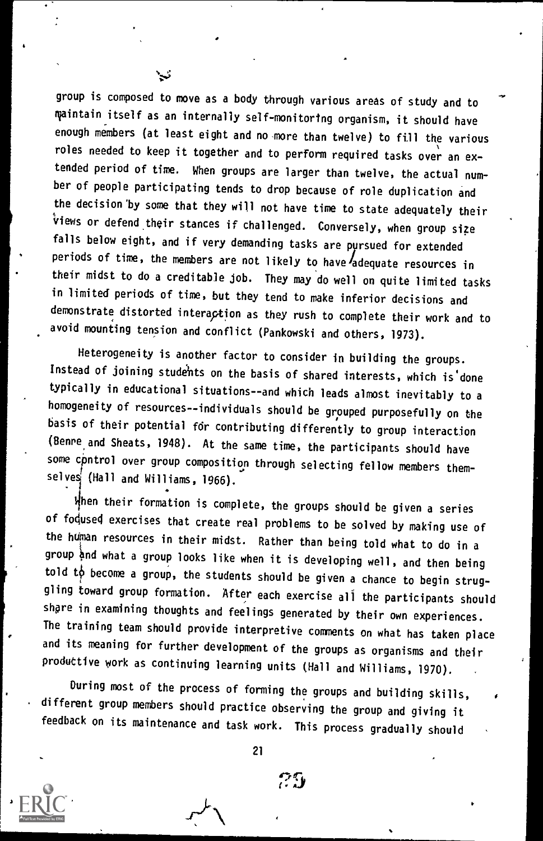group is composed to move as a body through various areas of study and to maintain itself as an internally self-monitoring organism, it should have enough members (at least eight and no more than twelve) to fill the various roles needed to keep it together and to perform required tasks over an extended period of time. When groups are larger than twelve, the actual num ber of people participating tends to drop because of role duplication and the decision'by some that they will not have time to state adequately their Views or defend their stances if challenged. Conversely, when group size falls below eight, and if very demanding tasks are pursued for extended periods of time, the members are not likely to have adequate resources in their midst to do a creditable job. They may do well on quite limited tasks in limited periods of time, but they tend to make inferior decisions and demonstrate distorted interaction as they rush to complete their work and to avoid mounting tension and conflict (Pankowski and others, 1973).

Heterogeneity is another factor to consider in building the groups. Instead of joining students on the basis of shared interests, which is done typically in educational situations--and which leads almost inevitably to <sup>a</sup> homogeneity of resources--individuals should be grouped purposefully on the basis of their potential fdr contributing differently to group interaction (genre and Sheats, 1948). At the same time, the participants should have some cpntrol over group composition through selecting fellow members themselves (Hall and Williams, 1966). 1

 $\mathbf{\hat{H}}$ hen their formation is complete, the groups should be given a series of fodused exercises that create real problems to be solved by making use of the human resources in their midst. Rather than being told what to do in a group 6d what a group looks like when it is developing well, and then being told  $t\dot{\phi}$  become a group, the students should be given a chance to begin struggling toward group formation. After each exercise all the participants should share in examining thoughts and feelings generated by their own experiences. The training team should provide interpretive comments on what has taken place and its meaning for further development of the groups as organisms and their produttive work as continuing learning units (Hall and Williams, 1970).

During most of the process of forming the groups and building skills, different group members should practice observing the group and giving it feedback on its maintenance and task work. This process gradually should

21

ាស

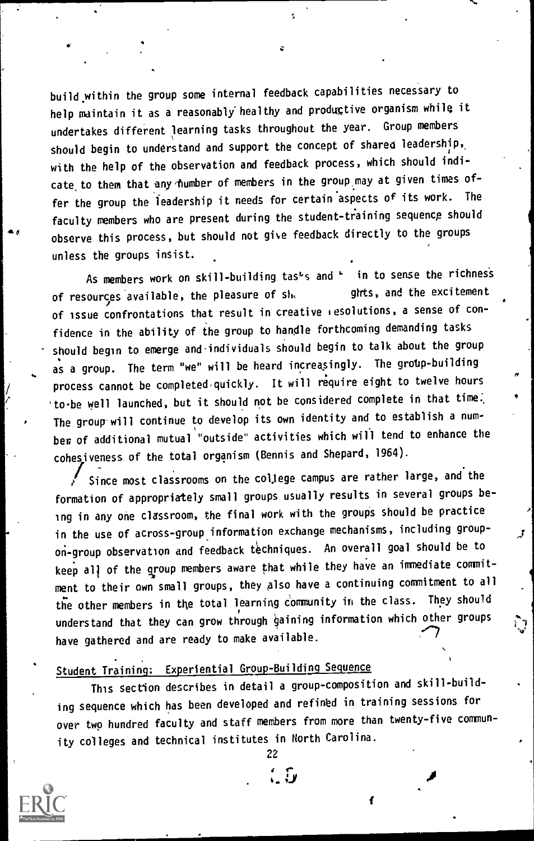A 6 0 observe this process, but should not give feedback directly to the groups build within the group some internal feedback capabilities necessary to help maintain it as a reasonably healthy and productive organism while it undertakes different learning tasks throughout the year. Group members should begin to understand and support the concept of shared leadership,, with the help of the observation and feedback process, which should indicate to them that any number of members in the group may at given times offer the group the leadership it needs for certain aspects of its work. The faculty members who are present during the student-training sequence should unless the groups insist.

As members work on skill-building tas<sup>d</sup>s and in to sense the richness for the sense of  $\vert$ of resources available, the pleasure of sh, ghts, and the excitement of issue confrontations that result in creative resolutions, a sense of confidence in the ability of the group to handle forthcoming demanding tasks should begin to emerge and-individuals should begin to talk about the group as a group. The term "we" will be heard increasingly. The group-building process cannot be completed quickly. It will require eight to twelve hours 'to-be well launched, but it should not be considered complete in that time. The group will continue to develop its own identity and to establish a number, of additional mutual "outside" activities which will tend to enhance the cohesiveness of the total organism (Bennis and Shepard, 1964).

Since most classrooms on the college campus are rather large, and the formation of appropriately small groups usually results in several groups being in any one classroom, the final work with the groups should be practice in the use of across-group information exchange mechanisms, including groupon-group observation and feedback techniques. An overall goal should be to keep all of the group members aware that while they have an immediate commitment to their own small groups, they also have a continuing commitment to all the other members in the total learning community in the class. They should understand that they can grow through gaining information which other groups have gathered and are ready to make available.

### Student Training: Experiential Group-Building Sequence

This Section describes in detail a group-composition and skill-building sequence which has been developed and refined in training sessions for over two hundred faculty and staff members from more than twenty-five community colleges and technical institutes in North Carolina.

22

 $\mathfrak{c}$   $\mathfrak{b}$  .

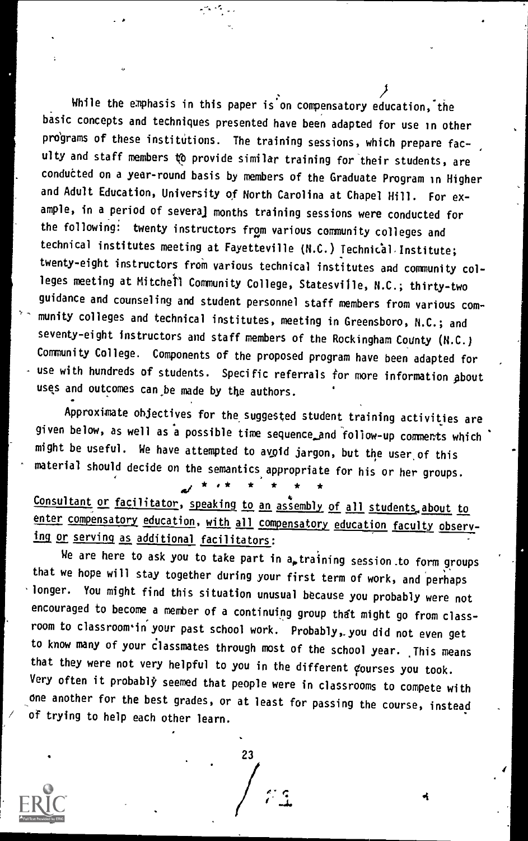While the emphasis in this paper is on compensatory education, the basic concepts and techniques presented have been adapted for use in other programs of these institutions. The training sessions, which prepare faculty and staff members 1b provide similar training for their students, are conducted on a year-round basis by members of the Graduate Program in Higher and Adult Education, University of North Carolina at Chapel Hill. For example, in a period of several months training sessions were conducted for the following: twenty instructors from various community colleges and technical institutes meeting at Fayetteville (N.C.) Technical Institute; twenty-eight instructors from various technical institutes and community colleges meeting at Mitchell Community College, Statesville, N.C.; thirty-two guidance and counseling and student personnel staff members from various community colleges and technical institutes, meeting in Greensboro, N.C.; and seventy-eight instructors and staff members of the Rockingham County (N.C.) Community College. Components of the proposed program have been adapted for use with hundreds of students. Specific referrals for more information about uses and outcomes can be made by the authors.

Approximate objectives for the suggested student training activities are given below, as well as a possible time sequence and follow-up comments which might be useful. We have attempted to avoid jargon, but the user, of this material should decide on the semantics appropriate for his or her groups.

\* \* \* \* \* \* \*

Consultant or facilitator, speaking to an assembly of all students, about to enter compensatory education, with all compensatory education faculty observing or serving as additional facilitators:

We are here to ask you to take part in  $a_{p}$  training session to form groups that we hope will stay together during your first term of work, and perhaps longer. You might find this situation unusual because you probably were not encouraged to become a member of a continuing group thdt might go from classroom to classroom'in your past school work. Probably,.you did not even get to know many of your classmates through most of the school year. This means that they were not very helpful to you in the different courses you took. Very often it probably seemed that people were in classrooms to compete with one another for the best grades, or at least for passing the course, instead of trying to help each other learn.

 $\sum_{i=1}^{23}$ 

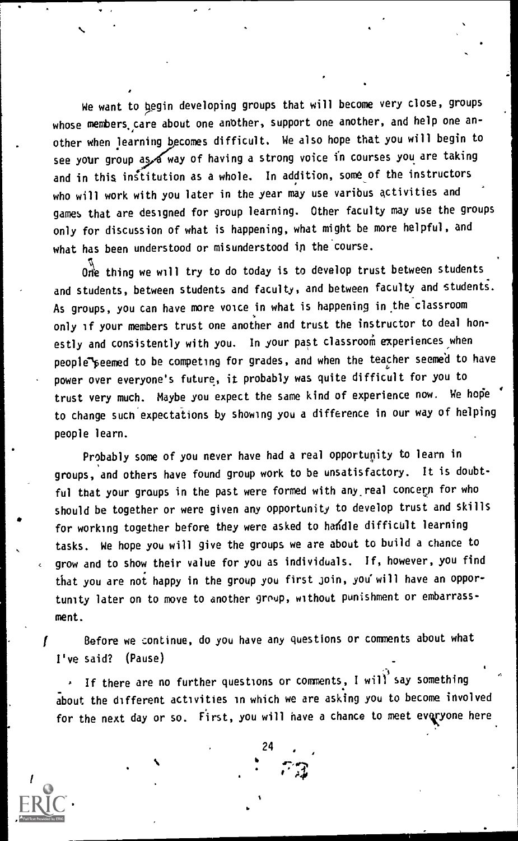We want to begin developing groups that will become very close, groups whose members, care about one another, support one another, and help one another when learning becomes difficult. We also hope that you will begin to see your group as of way of having a strong voice in courses you are taking and in this institution as a whole. In addition, some of the instructors who will work with you later in the year may use varibus activities and games that are designed for group learning. Other faculty may use the groups only for discussion of what is happening, what might be more helpful, and what has been understood or misunderstood in the'course.

One thing we will try to do today is to develop trust between students and students, between students and faculty, and between faculty and students. As groups, you can have more voice in what is happening in.the classroom only if your members trust one another and trust the instructor to deal honestly and consistently with you. In your past classroom experiences when people peemed to be competing for grades, and when the teacher seemed to have power over everyone's future, it probably was quite difficult for you to trust very much. Maybe you expect the same kind of experience now. We hope to change such expectations by showing you a difference in our way of helping people learn.

Probably some of you never have had a real opportunity to learn in groups, and others have found group work to be unsatisfactory. It is doubtful that your groups in the past were formed with any, real concern for who should be together or were given any opportunity to develop trust and skills for working together before they were asked to handle difficult learning tasks. We hope you will give the groups we are about to build a chance to grow and to show their value for you as individuals. If, however, you find that you are not happy in the group you first join, you will have an opportunity later on to move to another group, without punishment or embarrassment.

f end afore we continue, do you have any questions or comments about what the same of  $\mathcal{S}$ I've said? (Pause)

 $\cdot$  If there are no further questions or comments, I will say something about the different activities in which we are asking you to become involved for the next day or so. First, you will have a chance to meet everyone here

24

 $^{\tau}$ a $^{-}$ 

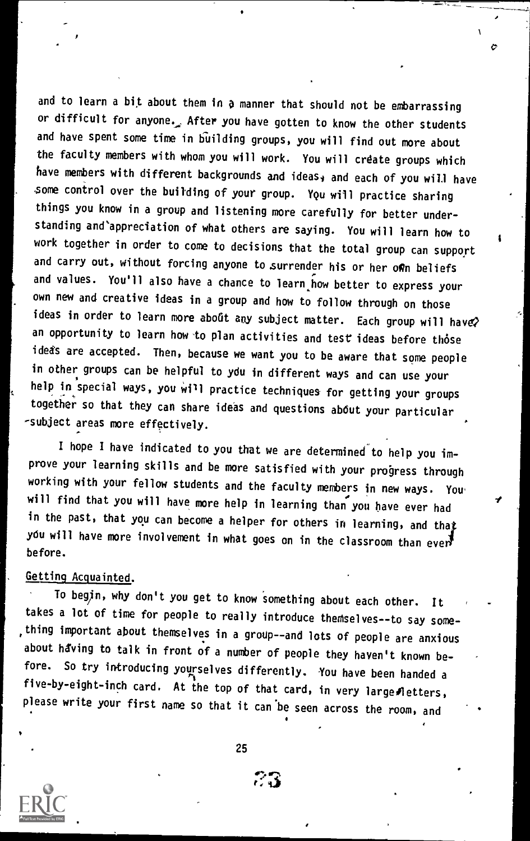and to learn a bit about them in a manner that should not be embarrassing or difficult for anyone.\_ After you have gotten to know the other students and have spent some time in building groups, you will find out more about the faculty members with whom you will work. You will crdate groups which have members with different backgrounds and ideas, and each of you will have some control over the building of your group. YQU will practice sharing things you know in a group and listening more carefully for better understanding and appreciation of what others are saying. You will learn how to work together in order to come to decisions that the total group can support and carry out, without forcing anyone to surrender his or her own beliefs and values. You'll also have a chance to learn how better to express your own new and creative ideas in a group and how to follow through on those ideas in order to learn more aboût any subject matter. Each group will have? an opportunity to learn how to plan activities and test ideas before those ideas are accepted. Then, because we want you to be aware that some people in other groups can be helpful to ydu in different ways and can use your help in special ways, you will practice techniques for getting your groups together so that they can share ideas and questions ab6ut your particular -subject areas more effectively.

I hope I have indicated to you that we are determined to help you improve your learning skills and be more satisfied with your progress through working with your fellow students and the faculty members in new ways. You will find that you will have more help in learning than you have ever had in the past, that you can become a helper for others in learning, and that you will have more involvement in what goes on in the classroom than ever $\overline{J}$ before.

### Getting Acquainted.

To begin, why don't you get to know something about each other. It takes a lot of time for people to really introduce themselves--to say something important about themselves in a group- -and lots of people are anxious about having to talk in front of a number of people they haven't known before. So try introducing yourselves differently. You have been handed a five-by-eight-inch card. At the top of that card, in very large fletters, please write your first name so that it can'be seen across the room, and



25

r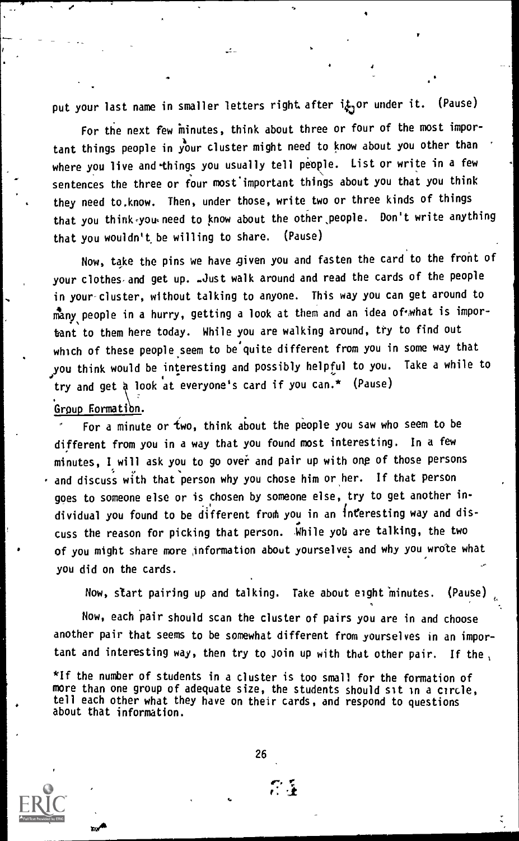put your last name in smaller letters right after it or under it. (Pause)

For the next few minutes, think about three or four of the most important things people in your cluster might need to know about you other than where you live and things you usually tell people. List or write in a few sentences the three or four most'important things about you that you think they need to,know. Then, under those, write two or three kinds of things that you think you need to know about the other people. Don't write anything that you wouldn't, be willing to share. (Pause)

Now, take the pins we have given you and fasten the card to the front of your clothes and get up. -Just walk around and read the cards of the people in your-cluster, without talking to anyone. This way you can get around to many people in a hurry, getting a look at them and an idea of what is important to them here today. While you are walking around, try to find out which of these people seem to be'quite different from you in some way that you think would be interesting and possibly helpful to you. Take a while to try and get a look at everyone's card if you can.\* (Pause) Group Formation.

For a minute or two, think about the people you saw who seem to be different from you in a way that you found most interesting. In a few minutes, I will ask you to go over and pair up with one of those persons and discuss with that person why you chose him or her. If that person goes to someone else or is chosen by someone else, try to get another in dividual you found to be different from you in an interesting way and discuss the reason for picking that person. While yob are talking, the two of you might share more information about yourselves and why you wrote what you did on the cards.

Now, start pairing up and talking. Take about eight minutes. (Pause)

Now, each Pair should scan the cluster of pairs you are in and choose another pair that seems to be somewhat different from yourselves in an important and interesting way, then try to Join up with that other pair. If the

\*If the number of students in a cluster is too small for the formation of more than one group of adequate size, the students should sit in a circle, tell each other what they have on their cards, and respond to questions about that information.

26

 $\mathbb{C}^{\times}$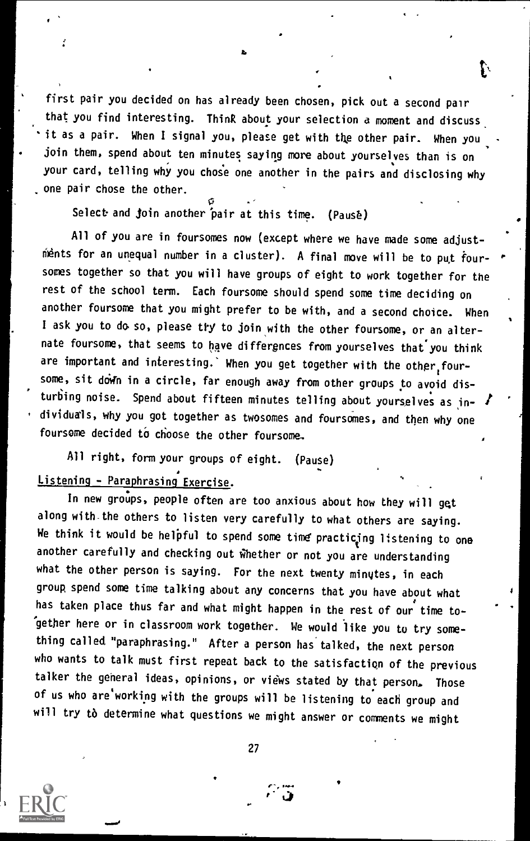first pair you decided on has already been chosen, pick out a second pair that you find interesting. Think about your selection a moment and discuss it as a pair. When I signal you, please get with the other pair. When you join them, spend about ten minutes saying more about yourselves than is on your card, telling why you chose one another in the pairs and disclosing why one pair chose the other.

Select and join another pair at this time. (Pause)

All of you are in foursomes now (except where we have made some adjustments for an unequal number in a cluster). A final move will be to put foursomes together so that you will have groups of eight to work together for the rest of the school term. Each foursome should spend some time deciding on another foursome that you might prefer to be with, and a second choice. When I ask you to do so, please try to join with the other foursome, or an alternate foursome, that seems to have differgnces from yourselves that you think are important and interesting.` When you get together with the other, foursome, sit down in a circle, far enough away from other groups to avoid disturbing noise. Spend about fifteen minutes telling about yourselves as individuals, why you got together as twosomes and foursomes, and then why one foursome decided to choose the other foursome.

All right, form your groups of eight. (Pause)

### listening - Paraphrasing Exercise.

In new groups, people often are too anxious about how they will get along with-the others to listen very carefully to what others are saying. We think it would be helpful to spend some time practicing listening to one another carefully and checking out whether or not you are understanding what the other person is saying. For the next twenty minutes, in each group spend some time talking about any concerns that you have about what has taken place thus far and what might happen in the rest of our time together here or in classroom work together. We would like you to try something called "paraphrasing." After a person has talked, the next person who wants to talk must first repeat back to the satisfaction of the previous talker the general ideas, opinions, or views stated by that person. Those of us who are working with the groups will be listening to each group and will try to determine what questions we might answer or comments we might

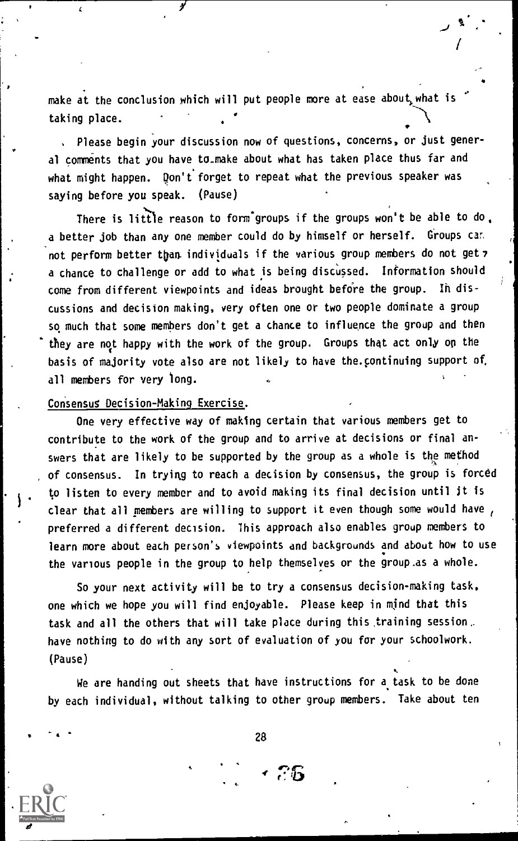make at the conclusion which will put people more at ease about,what is taking place.

Please begin your discussion now of questions, concerns, or just general comments that you have to.make about what has taken place thus far and what might happen. Don't forget to repeat what the previous speaker was saying before you speak. (Pause)

There is little reason to form groups if the groups won't be able to do, a better job than any one member could do by himself or herself. Groups can not perform better than individuals if the various group members do not get 7 a chance to challenge or add to what is being discussed. Information should come from different viewpoints and ideas brought before the group. Ih discussions and decision making, very often one or two people dominate a group so much that some members don't get a chance to influence the group and then they are not happy with the work of the group. Groups that act only op the basis of majority vote also are not likely to have the.continuing support of, all members for very long.

#### Consensus Decision-Making Exercise.

One very effective way of making certain that various members get to contribute to the work of the group and to arrive at decisions or final answers that are likely to be supported by the group as a whole is the method of consensus. In trying to reach a decision by consensus, the group is forced to listen to every member and to avoid making its final decision until it is clear that all members are willing to support it even though some would have preferred a different decision. This approach also enables group members to learn more about each person's viewpoints and backgrounds and about how to use the various people in the group to help themselves or the group.as a whole.

So your next activity will be to try a consensus decision-making task. one which we hope you will find enjoyable. Please keep in mind that this task and all the others that will take place during this.training session.. have nothing to do with any sort of evaluation of yOu for your schoolwork. (Pause)

We are handing out sheets that have instructions for a task to be done by each individual, without talking to other group members. Take about ten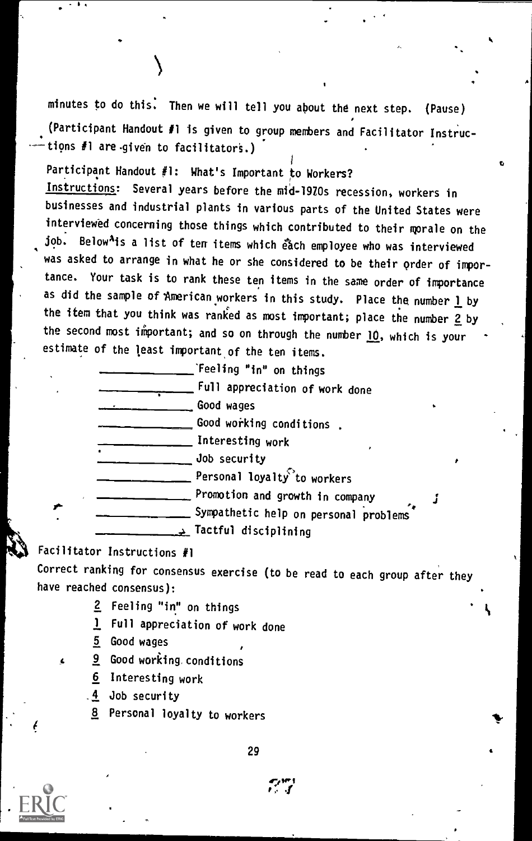minutes to do this: Then we will tell you about the next step. (Pause) (Participant Handout #1 is given to group members and Facilitator Instruc tions #1 are given to facilitators.)

1 Participant Handout #1: What's Important to Workers? Instructions: Several years before the mid-1920s recession, workers in businesses and industrial plants in various parts of the United States were interviewed concerning those things which contributed to their morale on the job. Below<sup>A</sup>is a list of ten items which each employee who was interviewed was asked to arrange in what he or she considered to be their order of importance. Your task is to rank these ten items in the same order of importance as did the sample of American workers in this study. Place the number  $\underline{\mathbf{l}}$  by the item that you think was ranked as most important; place the number 2 by the second most important; and so on through the number  $10$ , which is your estimate of the least important, of the ten items.

> 'Feeling "in" on things Full appreciation of work done Good wages Good working conditions . Interesting work Job security  $\_$  Personal loyalty $^{\heartsuit}$ to workers **Promotion and growth in company** Sympathetic help on personal problems Tactful disciplining

### Facilitator Instructions #1

Correct ranking for consensus exercise (to be read to each group after they have reached consensus):

- 2 Feeling "in" on things
- <sup>1</sup> Full appreciation of work done
- 5 Good wages
- 9 Good working, conditions
	- 6 Interesting work
	- 4 Job security
	- 8 Personal loyalty to workers

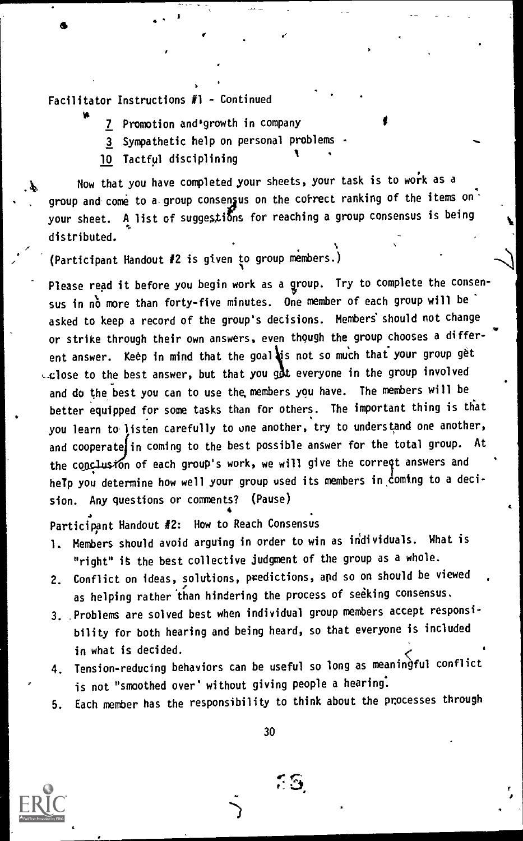Facilitator Instructions #1 - Continued

- 7 Promotion and growth in company
- 3 Sympathetic help on personal problems A
- 10 Tactful disciplining

Now that you have completed your sheets, your task is to work as a group and come to a group consensus on the correct ranking of the items on your sheet. A list of suggestions for reaching a group consensus is being distributed.

ti

(Participant Handout #2 is given to group members.)

Please read it before you begin work as a group. Try to complete the consensus in no more than forty-five minutes. One member of each group will be asked to keep a record of the group's decisions. Members' should not change or strike through their own answers, even though the group chooses a differ ent answer. Keep in mind that the goal is not so much that your group get  $\cup$ close to the best answer, but that you got everyone in the group involved and do the best you can to use the, members you have. The members will be better equipped for some tasks than for others. The important thing is that you learn to listen carefully to one another, try to understand one another, and cooperate in coming to the best possible answer for the total group. At the conclusion of each group's work, we will give the correqt answers and help you determine how well your group used its members in coming to a decision. Any questions or comments? (Pause)

Particippnt Handout #2: How to Reach Consensus

- 1. Members should avoid arguing in order to win as individuals. What is "right" is the best collective judgment of the group as a whole.
- 2. Conflict on ideas, solutions, predictions, and so on should be viewed as helping rather than hindering the process of seeking consensus.
- 3. .Problems are solved best when individual group members accept responsibility for both hearing and being heard, so that everyone is included in what is decided.
- 4. Tension-reducing behaviors can be useful so long as meaningful conflict is not "smoothed over' without giving people a hearing:
- 5. Each member has the responsibility to think about the processes through

30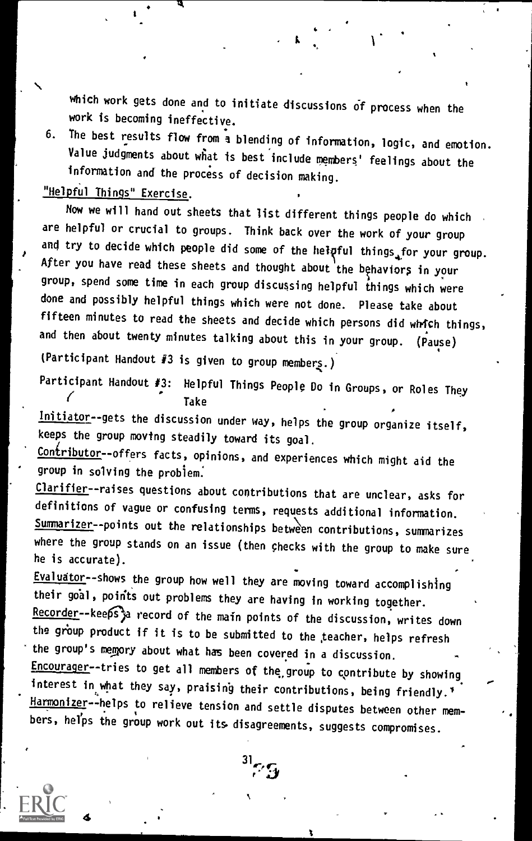which work gets done and to initiate discussions of process when the work is becoming ineffective.

6. The best results flow from a blending of information, logic, and emotion. Value judgments about what is best include members' feelings about the information and the process of decision making.

### "Helpful Things" Exercise.

4

Now we will hand out sheets that list different things people do which are helpful or crucial to groups. Think back over the work of your group and try to decide which people did some of the helpful things<sub>af</sub>or your group. After you have read these sheets and thought about the behaviors in your group, spend some time in each group discussing helpful things which were done and possibly helpful things which were not done. Please take about fifteen minutes to read the sheets and decide which persons did which things, and then about twenty minutes talking about this in your group. (Pause)

(Participant Handout #3 is given to group members.)

Participant Handout #3: Helpful Things People Do in Groups, or Roles They Take

Initiator--gets the discussion under way, helps the group organize itself, keeps the group moving steadily toward its goal.

Contributor--offers facts, opinions, and experiences which might aid the group in solving the problem.

Clarifier--raises questions about contributions that are unclear, asks for definitions of vague or confusing terms, requests additional information. Summarizer--points out the relationships between contributions, summarizes where the group stands on an issue (then checks with the group to make sure he is accurate).

Evaluator--shows the group how well they are moving toward accomplishing their 961, poirits out problems they are having in working together. Recorder--keeps a record of the main points of the discussion, writes down the group product if it is to be submitted to the teacher, helps refresh the group's memory about what has been covered in a discussion. Encourager--tries to get all members of the group to contribute by showing interest in what they say, praising their contributions, being friendly.'\* Harmonizer--helps to relieve tension and settle disputes between other members, helps the group work out its disagreements, suggests compromises.

 $^{31}$ 7.5

 $\mathcal{L}_{\text{eff}}$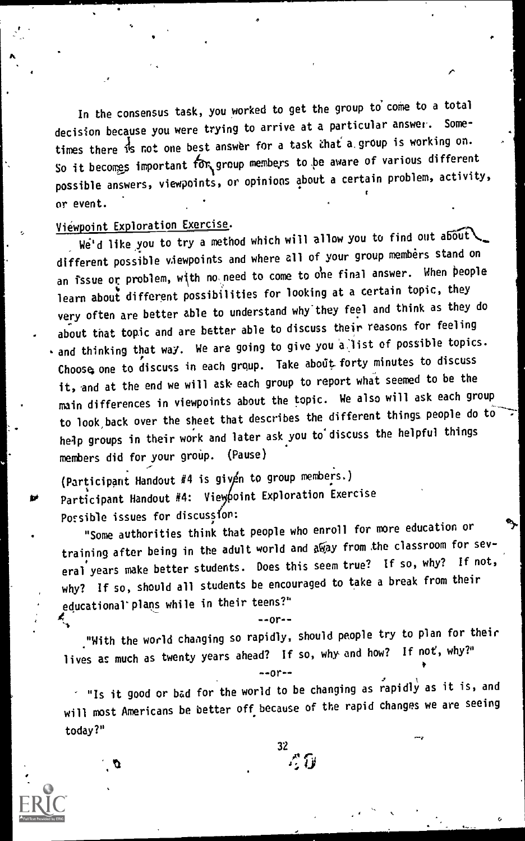In the consensus task, you worked to get the group to come to a total decision because you were trying to arrive at a particular answer. times there is not one best answer for a task chat a group is working on. So it becomes important for group members to be aware of various different possible answers, viewpoints, or opinions about a certain problem, activity, or event.

Viewpoint Exploration Exercise.<br>We'd like you to try a method which will allow you to find out about different possible viewpoints and where all of your group members stand on an issue or problem, with no need to come to one final answer. When people learn about different possibilities for looking at a certain topic, they very often are better able to understand why'they feel and think as they do about that topic and are better able to discuss their reasons for feeling  $\cdot$  and thinking that way. We are going to give you a list of possible topics. Choose, one to discuss in each group. Take about forty minutes to discuss it, and at the end we will ask each group to report what seemed to be the main differences in viewpoints about the topic. We also will ask each group to look, back over the sheet that describes the different things people do to help groups in their work and later ask you to'discuss the helpful things members did for your group. (Pause)

(Participant Handout  $#4$  is given to group members.) Participant Handout #4: Viey point Exploration Exercise Possible issues for discussion:

"Some authorities think that people who enroll for more education or training after being in the adult world and away from the classroom for several years make better students. Does this seem true? If so, why? If not, why? If so, should all students be encouraged to take a break from their educational' plans while in their teens?"

"With the world changing so rapidly, should people try to plan for their lives as much as twenty years ahead? If so, why and how? If not, why?"

 $-0r-$ 

 $-0r-$ 

 $\check{\phantom{\phi}}$  "Is it good or bad for the world to be changing as rapidly as it is, and will most Americans be better off because of the rapid changes we are seeing today?"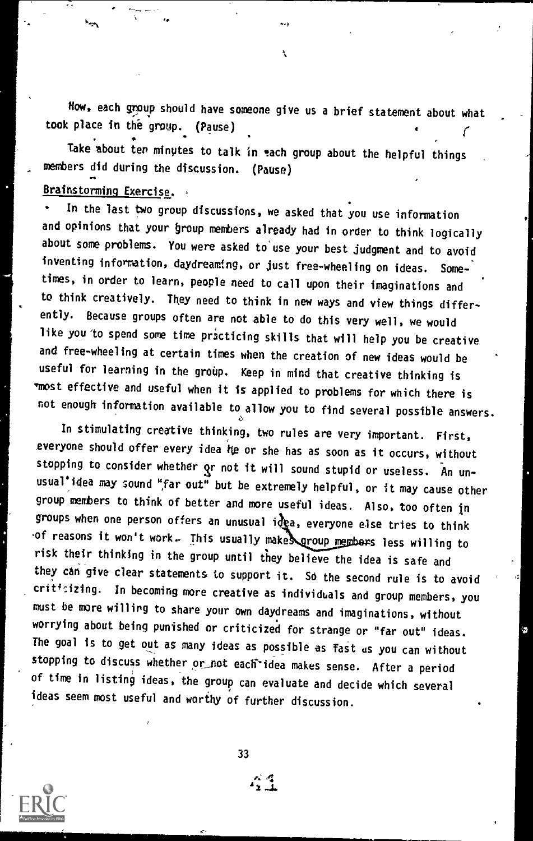Now, each group should have someone give us a brief statement about what took place in the group. (Pause)

Take about ten minutes to talk in each group about the helpful things members did during the discussion. (Pause)

### Brainstorming Exercise.

In the last two group discussions, we asked that you use information and opinions that your group members already had in order to think logically about some problems. You were asked to'use your best judgment and to avoid inventing information, daydreaming, or just free-wheeling on ideas. Some times, in order to learn, people need to call upon their imaginations and to think creatively. They need to think in new ways and view things differently. Because groups often are not able to do this very well, we would like you to spend some time practicing skills that will help you be creative and free-wheeling at certain times when the creation of new ideas would be useful for learning in the group. Keep in mind that creative thinking is -most effective and useful when it is applied to problems for which there is not enough information available to allow you to find several possible answers.

In stimulating creative thinking, two rules are very important. First, everyone should offer every idea he or she has as soon as it occurs, without stopping to consider whether or not it will sound stupid or useless. An unusual'idea may sound "far out" but be extremely helpful, or it may cause other group members to think of better and more useful ideas. Also, too often in groups when one person offers an unusual idea, everyone else tries to think  $-$ of reasons it won't work. Ihis usually make  $\gamma$  aroup members less willing to risk their thinking in the group until they believe the idea is safe and they can give clear statements to support it. So the second rule is to avoid criticizing. In becoming more creative as individuals and group members, you must be more willing to share your own daydreams and imaginations, without worrying about being punished or criticized for strange or "far out" ideas. The goal is to get out as many ideas as possible as fast us you can without stopping to discuss whether or not each idea makes sense. After a period of time in listing ideas, the group can evaluate and decide which several ideas seem most useful and worthy of further discussion.

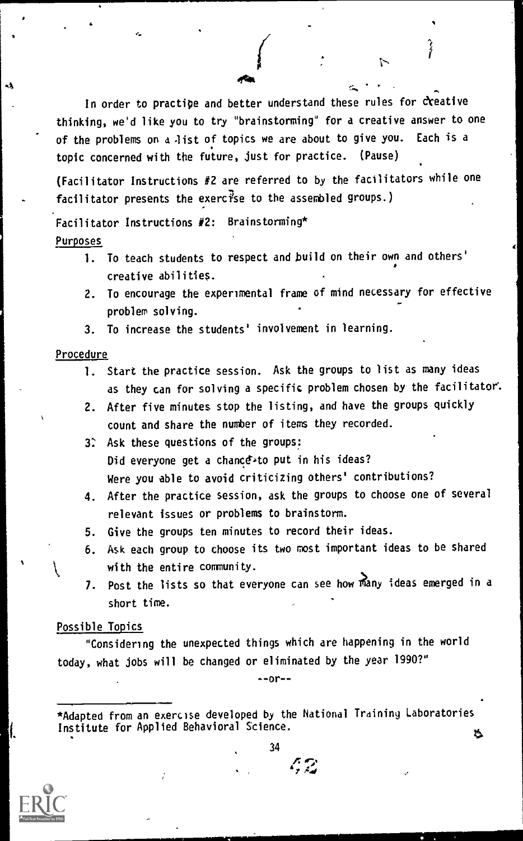In order to practice and better understand these rules for creative thinking, we'd like you to try "brainstorming" for a creative answer to one of the problems on a list of topics we are about to give you. Each is a topic concerned with the future, just for practice. (Pause)

(Facilitator Instructions  $#2$  are referred to by the facilitators while one facilitator presents the exercise to the assembled groups.)

Facilitator Instructions #2: Brainstorming\* Purposes

- 1. To teach students to respect and build on their own and others' creative abilities.
- 2. To encourage the experimental frame of mind necessary for effective problem solving.
- 3. To increase the students' involvement in learning.

#### Procedure

- 2

- 1. Start the practice session. Ask the groups to list as many ideas as they can for solving a specific problem chosen by the facilitator.
- 2. After five minutes stop the listing, and have the groups quickly count and share the number of items they recorded.
- 3: Ask these questions of the groups: Did everyone get a chance<sup>,to</sup> put in his ideas? Were you able to avoid criticizing others' contributions?
- 4. After the practice session, ask the groups to choose one of several relevant issues or problems to brainstorm.
- 5. Give the groups ten minutes to record their ideas.
- 6. Ask each group to choose its two most important ideas to be shared with the entire community.
- 7. Post the lists so that everyone can see how many ideas emerged in a short time.

#### Possible Topics

"Considering the unexpected things which are happening in the world today, what jobs will be changed or eliminated by the year 1990?"

 $-0r-$ 

\*Adapted from an exercise developed by the National Training Laboratories Institute for Applied Behavioral Science.

34

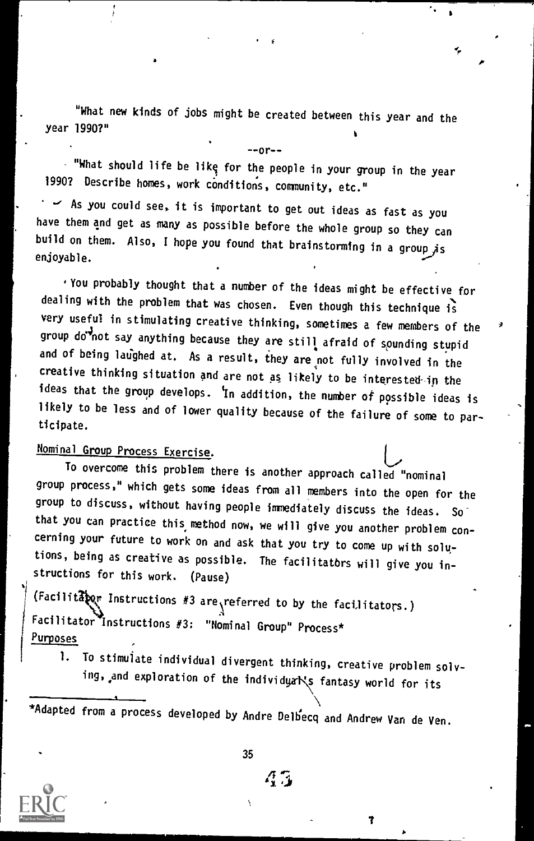"What new kinds of jobs might be created between this year and the year 1990?"

 $-$ -or- $-$ 

 $\mathbf{3}$  respectively. The contract of the contract of the contract of the contract of the contract of the contract of the contract of the contract of the contract of the contract of the contract of the contract of the co

۰,

 $\cdot$  "What should life be like for the people in your group in the year 1990? Describe homes, work conditions, community, etc."

 $\sim$  As you could see, it is important to get out ideas as fast as you have them and get as many as possible before the whole group so they can build on them. Also, I hope you found that brainstorming in a group  $\overline{A}$ s enjoyable.

You probably thought that a number of the ideas might be effective for dealing with the problem that was chosen. Even though this technique is very useful in stimulating creative thinking, sometimes a few members of the group do<sup>3</sup>not say anything because they are still afraid of sounding stupid and of being laughed at. As a result, they are not fully involved in the creative thinking situation and are not as likely to be interested-in the ideas that the group develops. 'In addition, the number of possible ideas is likely to be less and of lower quality because of the failure of some to participate.

### Nominal Group Process Exercise.

To overcome this problem there is another approach called "nominal group process," which gets some ideas from all members into the open for the that you can practice this method now, we will give you another problem concerning your future to work on and ask that you try to come up with solutions, being as creative as possible. The facilitatbrs will give you instructions for this work. (Pause)

(Facilitators Instructions #3 are referred to by the facilitators.) Facilitator Instructions #3: "Nominal Group" Process\* Purposes

1. To stimulate individual divergent thinking, creative problem solving, and exploration of the individyals fantasy world for its

\*Adapted from a process developed by Andre Delh'ecq and Andrew Van de Ven.

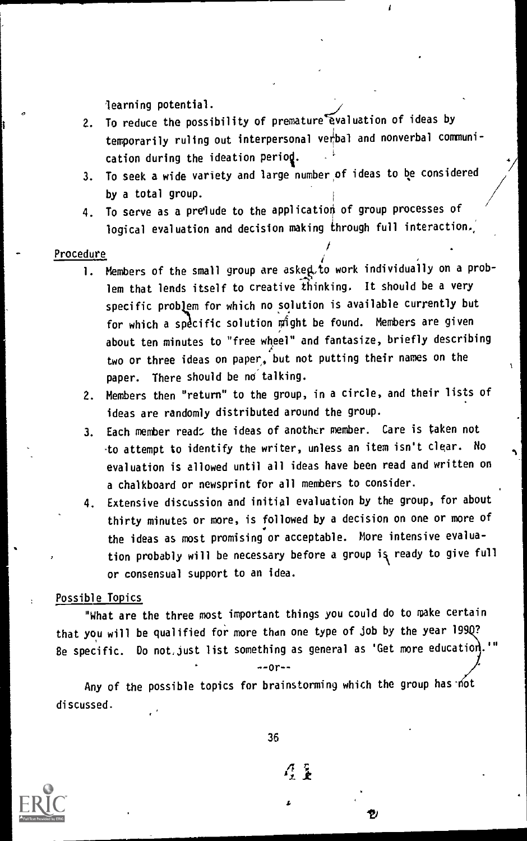learning potential.

- 2. To reduce the possibility of premature evaluation of ideas by temporarily ruling out interpersonal vebal and nonverbal communication during the ideation period.
- 3. To seek a wide variety and large number of ideas to be considered by a total group. <sup>i</sup> ///
- $4.$  To serve as a prelude to the application of group processes of logical evaluation and decision making through full interaction.,

/

,

#### Procedure

- $\overline{\phantom{a} \phantom{a}}$  . Members of the small group are aske $\bf q. t$ o work individually on a problem that lends itself to creative thinking. It should be a very specific problem for which no solution is available currently but for which a specific solution might be found. Members are given about ten minutes to "free wheel" and fantasize, briefly describing two or three ideas on paper, but not putting their names on the  $\qquad \qquad ,$ paper. There should be no talking.
- 2. Members then "return" to the group, in a circle, and their lists of ideas are randomly distributed around the group.
- 3. Each member read: the ideas of another member. Care is taken not to attempt to identify the writer, unless an item isn't clear. No evaluation is allowed until all ideas have been read and written on a chalkboard or newsprint for all members to consider.
- 4. Extensive discussion and initial evaluation by the group, for about thirty minutes or more, is followed by a decision on one or more of . the ideas as most promising or acceptable. More intensive evaluation probably will be necessary before a group is ready to give full or consensual support to an idea.

#### Possible Topics

"What are the three most important things you could do to make certain that you will be qualified for more than one type of job by the year 199Q? Be specific. Do not, just list something as general as 'Get more education.

 $-0r - -$ 

Any of the possible topics for brainstorming which the group has not discussed.



36

 $\mathcal{L}$  .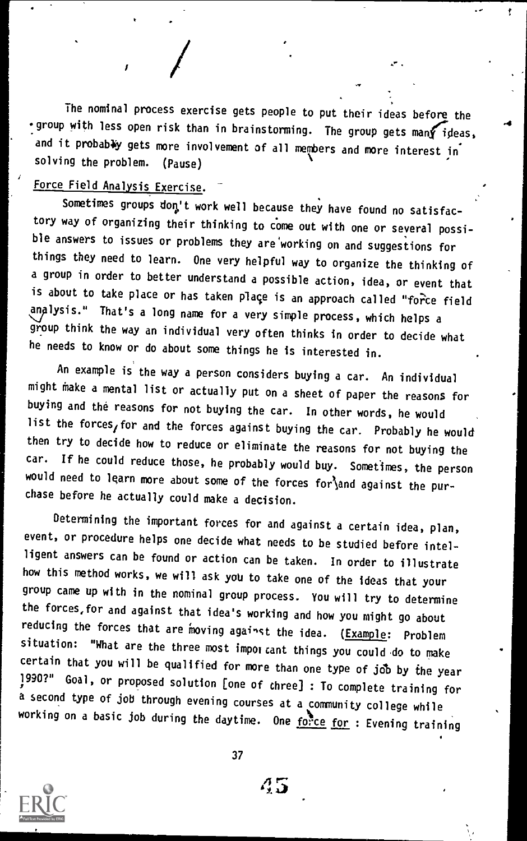The nominal process exercise gets people to put their ideas before the  $\cdot$  group with less open risk than in brainstorming. The group gets man $\bm f$  ideas, and it probably gets more involvement of all members and more interest in<br>solving the problem. (Pause) solving the problem.

### Force Field Analysis Exercise.

Sometimes groups don't work well because they have found no satisfactory way of organizing their thinking to come out with one or several possible answers to issues or problems they are'working on and suggestions for things they need to learn. One very helpful way to organize the thinking of a group in order to better understand a possible action, idea, or event that is about to take place or has taken place is an approach called "force field analysis." That's a long name for a very simple process, which helps <sup>a</sup> group think the way an individual very often thinks in order to decide what he needs to know or do about some things he is interested in.

An example is the way a person considers buying a car. An individual might Make a mental list or actually put on a sheet of paper the reasons for buying and the reasons for not buying the car. In other words, he would list the forces, for and the forces against buying the car. Probably he would then try to decide how to reduce or eliminate the reasons for not buying the car. If he could reduce those, he probably would buy. Sometimes, the person would need to learn more about some of the forces for and against the purchase before he actually could make a decision.

Determining the important forces for and against a certain idea, plan, event, or procedure helps one decide what needs to be studied before intelligent answers can be found or action can be taken. In order to illustrate how this method works, we will ask you to take one of the ideas that your group came up with in the nominal group process. You will try to determine the forces,for and against that idea's working and how you might go about reducing the forces that are moving against the idea. (*Example: Problem* situation: "What are the three most impor cant things you could do to make certain that you will be qualified for more than one type of job by the year<br>1990?" Goal, or proposed solution [one of chree] : To complete training for a second type of job through evening courses at a community college while working on a basic job during the daytime. One  $\overline{{\rm fo}_{\rm r}^{\bullet}{\rm ce}}$  for : Evening training



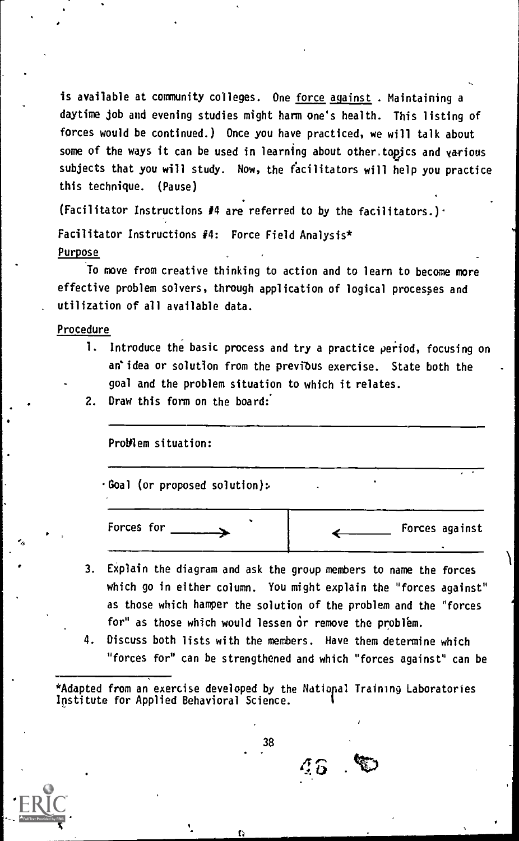is available at community colleges. One force against . Maintaining a daytime job and evening studies might harm one's health. This listing of forces would be continued.) Once you have practiced, we will talk about some of the ways it can be used in learning about other, topics and various subjects that you will study. Now, the facilitators will help you practice this technique. (Pause)

(Facilitator Instructions #4 are referred to by the facilitators.).

Facilitator Instructions  $#4$ : Force Field Analysis\* Purpose

To move from creative thinking to action and to learn to become more effective problem solvers, through application of logical procespes and utilization of all available data.

Procedure

- 1. Introduce the basic process and try a practice period, focusing on an'idea or solution from the previous exercise. State both the goal and the problem situation to which it relates.
- 2. Draw this form on the board:

Problem situation:

.Goal (or proposed solution):

Forces for Forces against

- 3. EXplain the diagram and ask the group members to name the forces which go in either column. You might explain the "forces against" as those which hamper the solution of the problem and the "forces for" as those which would lessen or remove the problem.
- Discuss both lists with the members. Have them determine which "forces for" can be strengthened and which "forces against" can be

\*Adapted from an exercise developed by the Natiopal Training Laboratories Institute for Applied Behavioral Science.

38

 $\overline{4}\overline{5}$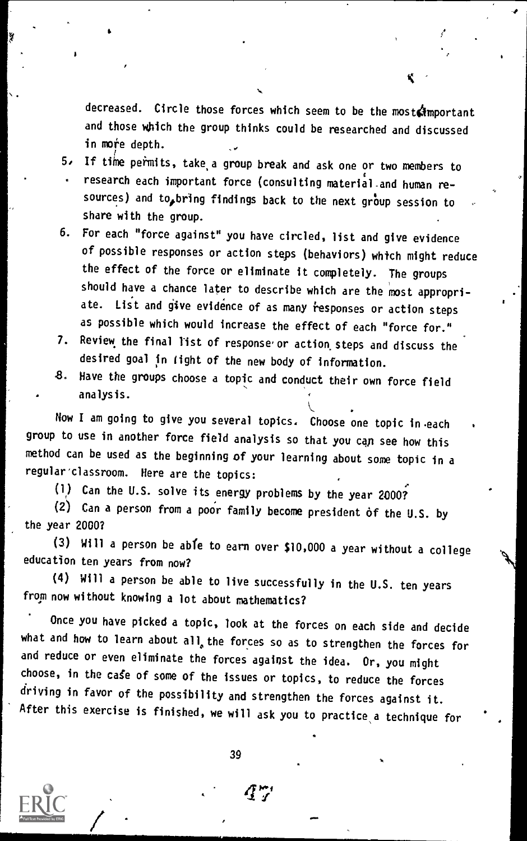decreased. Circle those forces which seem to be the most important and those which the group thinks could be researched and discussed in more depth.

Slower and the second

- 5, If time permits, take,a group break and ask one or two members to research each important force (consulting material.and human resources) and to bring findings back to the next group session to share with the group.
- 6. For each "force against" you have circled, list and give evidence of possible responses or action steps (behaviors) which might reduce the effect of the force or eliminate it completely. The groups should have a chance later to describe which are the most appropriate. List and give evidence of as many responses or action steps as possible which would increase the effect of each "force for."
- 7. Review the final list of response or action steps and discuss the desired goal In tight of the new body of information.
- 8. Have the groups choose a topic and conduct their own force field analysis.

Now I am going to give you several topics. Choose one topic in each group to use in another force field analysis so that you cap see how this method can be used as the beginning of your learning about some topic in a regular'classroom. Here are the topics:

(1) Can the U.S. solve its energy problems by the year 2000?

 $(2)$  Can a person from a poor family become president of the U.S. by the year 2000?

(3) Will a person be able to earn over \$10,000 a year without a college education ten years from now?

(4) Will a person be able to live successfully in the U.S. ten years from now without knowing a lot about mathematics?

Once you have picked a topic, look at the forces on each side and decide what and how to learn about all, the forces so as to strengthen the forces for and reduce or even eliminate the forces against the idea. Or, you might choose, in the case of some of the issues or topics, to reduce the forces driving in favor of the possibility and strengthen the forces against it. After this exercise is finished, we will ask you to practice a technique for

39

 $\mathcal{L}$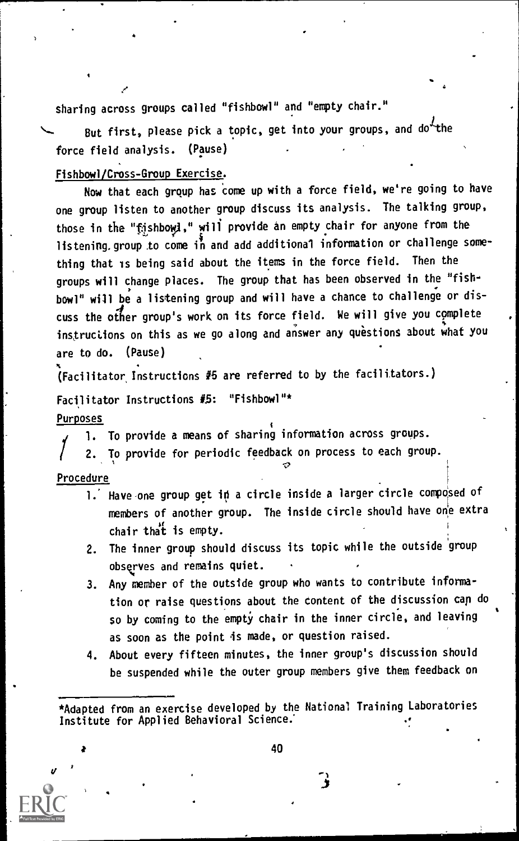sharing across groups called "fishbowl" and "empty chair."

But first, please pick a topic, get into your groups, and  $d\sigma^2$ the force field analysis. (Pause)

#### Fishbowl/Cross-Group Exercise.

Now that each grqup has come up with a force field, we're going to have one group listen to another group discuss its analysis. The talking group, those in the "fishbowl," will provide an empty chair for anyone from the listening, group to come in and add additional information or challenge something that is being said about the items in the force field. Then the groups will change places. The group that has been observed in the "fish- , bowl" will be a listening group and will have a chance to challenge or discuss the other group's work on its force field. We will give you complete instructions on this as we go along and answer any questions about what you are to do. (Pause)

(Facilitator Instructions #5 are referred to by the facilitators.)

Facilitator Instructions #5: "Fishbowl"\* Purposes

1. To provide a means of sharing information across groups.

2. To provide for periodic feedback on process to each group.

#### Procedure

V

- 1. Have one group get in a circle inside a larger circle composed of members of another group. The inside circle should have one extra chair that is empty.
- 2. The inner group should discuss its topic while the outside group observes and remains quiet.
- 3. Any member of the outside group who wants to contribute information or raise questions about the Content of the discussion cap do so by coming to the empty chair in the inner circle, and leaving as soon as the point is made, or question raised.
- 4. About every fifteen minutes, the inner group's discussion should be suspended while the outer group members give them feedback on

<sup>\*</sup>Adapted from an exercise developed by the National Training Laboratories Institute for Applied Behavioral Science.'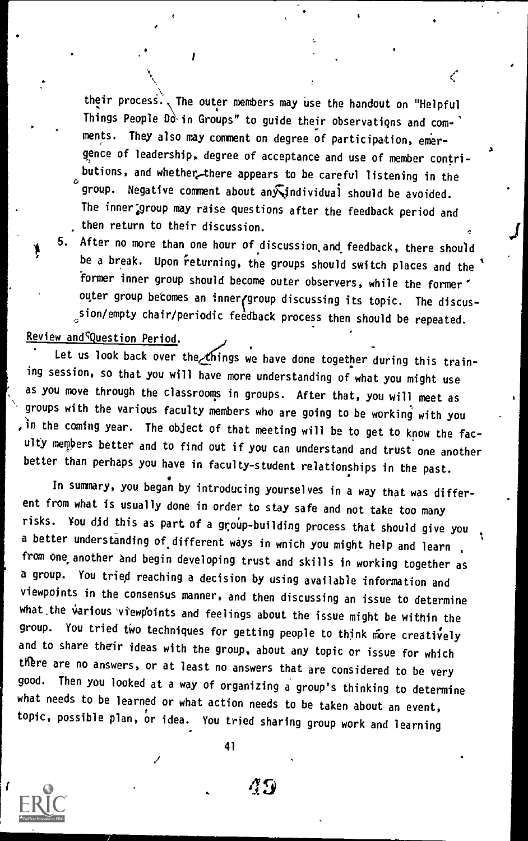their process., The outer members may use the handout on "Helpful Things People  $0\delta$  in Groups" to guide their observations and comments. They also may comment on degree of participation, emer gence of leadership, degree of acceptance and use of member contributions, and whether there appears to be careful listening in the group. Negative comment about any individual should be avoided. The inner group may raise questions after the feedback period and then return to their discussion.

į

vf

5. After no more than one hour of discussion and feedback, there should be a break. Upon returning, the groups should switch places and the former inner group should become outer observers, while the former' outer group becomes an inner/group discussing its topic. The discussion/empty chair/periodic feedback process then should be repeated.

### Review and<sup>c</sup>Question Period.

Δ

Let us look back over the things we have done together during this training session, so that you will have more understanding of what you might use as you move through the classrooms in groups. After that, you will meet as groups with the various faculty members who are going to be working with you ,in the coming year. The object of that meeting will be to get to know the faculty members better and to find out if you can understand and trust one another better than perhaps you have in faculty-student relationships in the past.

In summary, you began by introducing yourselves in a way that was different from what is usually done in order to stay safe and not take too many risks. You did this as part of a group-building process that should give you a better understanding of different ways in wnich you might help and learn from one another and begin developing trust and skills in working together as a group. You tried reaching a decision by using available information and viewpoints in the consensus manner, and then discussing an issue to determine what.the various vtewpbints and feelings about the issue might be within the group. You tried two techniques for getting people to think more creatively and to share their ideas with the group, about any topic or issue for which there are no answers, or at least no answers that are considered to be very good. Then you looked at a way of organizing a group's thinking to determine what needs to be learned or what action needs to be taken about an event, topic, possible plan, or idea. You tried sharing group work and learning

41

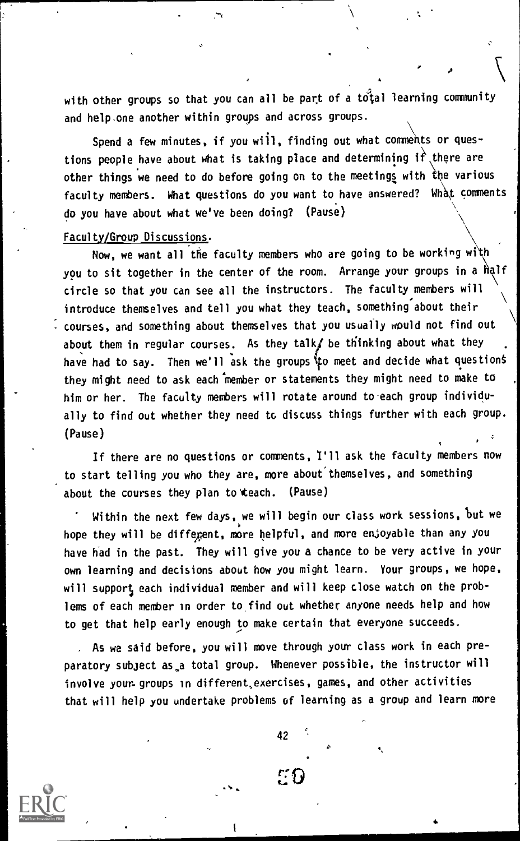with other groups so that you can all be part of a total learning community and help.one another within groups and across groups.

, where the contract of  $\mathcal{N}$ 

Spend a few minutes, if you will, finding out what comments or questions people have about what is taking place and determining  $\hat{\mathbf{r}}$  there are other things we need to do before going on to the meetings with the various faculty members. What questions do you want to have answered? What comments do you have about what we've been doing? (Pause)

#### Faculty/Group Discussions.

Now, we want all the faculty members who are going to be working with you to sit together in the center of the room. Arrange your groups in a half circle so that you can see all the instructors. The faculty members will  $\Delta$ introduce themselves and tell you what they teach, something about their courses, and something about themselves that you usually would not find out \ about them in regular courses. As they talks be thinking about what they have had to say. Then we'll ask the groups to meet and decide what questions they might need to ask each member or statements they might need to make to him or her. The faculty members will rotate around to each group individually to find out whether they need to discuss things further with each group. (Pause)

If there are no questions or comments, I'll ask the faculty members now to start telling you who they are, more about'themselves, and something about the courses they plan to teach. (Pause)

Within the next few days, we will begin our class work sessions, but we hope they will be different, more helpful, and more enjoyable than any you have had in the past. They will give you a chance to be very active in your own learning and decisions about how you might learn. Your groups, we hope, will support each individual member and will keep close watch on the problems of each member in order to, find out whether anyone needs help and how to get that help early enough to make certain that everyone succeeds.

, As we said before, you will move through your class work in each preparatory subject as,a total group. Whenever possible, the instructor will involve your groups in different,exercises, games, and other activities that will help you undertake problems of learning as a group and learn more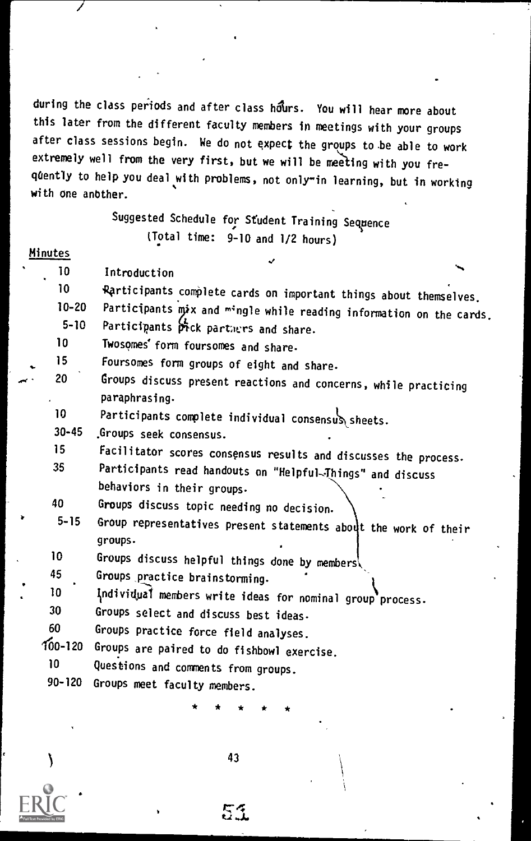during the class periods and after class hours. You will hear more about this later from the different faculty members in meetings with your groups after class sessions begin. We do not expect the groups to be able to work extremely well from the very first, but we will be meeting with you frequently to help you deal with problems, not only"in learning, but in working with one anbther.

### Suggested Schedule for Student Training Sequence (Total time: 9-10 and 1/2 hours)

#### Minutes

10 Introduction 10 Rarticipants complete cards on important things about themselves,<br>10-20 Participants mix and mingle while reading is factor in 10-20 Participants mix and mingle while reading information on the cards.<br>5-10 Participants fack partnums and change

- 5-10 Participants  $\frac{L}{C}$  partners and share.<br>10 **IWOSOMAS' form fourcemes** and share.
- 10 Twosomes' form foursomes and share.<br>15 Foursomes form groups of oight
- 15 Foursomes form groups of eight and share.<br>20 **Groups discuss present monotions** and some
- Groups discuss present reactions and concerns, while practicing paraphrasing.
	- 10 Participants complete individual consensus sheets.
- 30-45 ,Groups seek consensus.
- 15 Facilitator scores consensus results and discusses the process.<br>35 Participants read bandouts as "Waleful Times" in the consense
- Participants read handouts on "Helpful-Things" and discuss behaviors in their groups.
- 40 Groups discuss topic needing no decision.<br>5-15 Group representatives present statements
- Group representatives present statements about the work of their groups.
- 10 Groups discuss helpful things done by members,<br>45 Groups practice brainstorming
- 45 Groups\_practice brainstorming.
- 10  $\frac{1}{2}$  lindividual members write ideas for nominal group process.
- Groups select and discuss best ideas.
- 60 Groups practice force field analyses.<br>100-120 Groups are paired to do fichboul suse
- 00-120 Groups are paired to do fishbowl exercise.<br>10 10 Duestions and commate from example.
- 10 Questions and comments from groups.<br>90-120 Groups meet faculty mombors
- Groups meet faculty members.

\* \* \* \* \*

43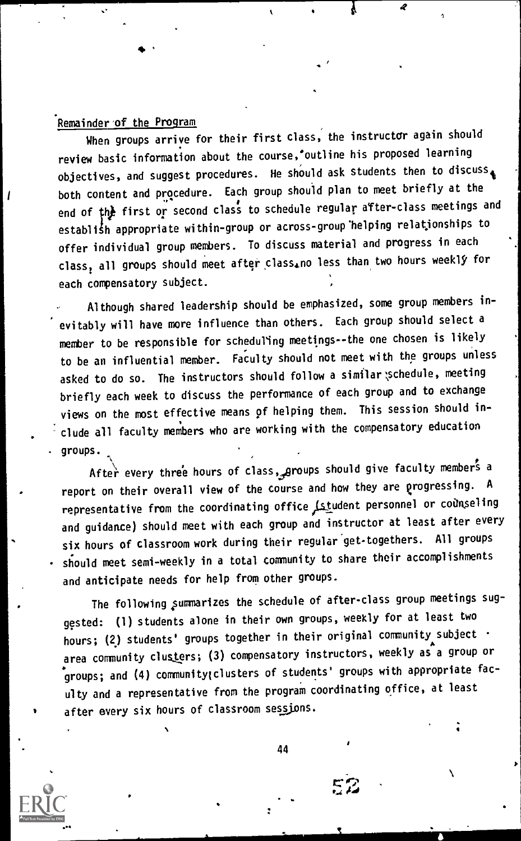### Remainder of the Program

When groups arrive for their first class, the instructor again should review basic information about the course,'outline his proposed learning objectives, and suggest procedures. He should ask students then to discuss both content and procedure. Each group should plan to meet briefly at the end of the first or second class to schedule regular after-class meetings and establish appropriate within-group or across-group helping relationships to offer individual group members. To discuss material and progress in each class, all groups should meet after class.no less than two hours weekly for each compensatory subject.

Although shared leadership should be emphasized, some group members inevitably will have more influence than others. Each group should select a member to be responsible for scheduling meetings- -the one chosen is likely to be an influential member. Faculty should not meet with the groups unless asked to do so. The instructors should follow a similar; schedule, meeting briefly each week to discuss the performance of each group and to exchange views on the most effective means of helping them. This session should include all faculty members who are working with the compensatory education groups.

After every three hours of class, groups should give faculty members a report on their overall view of the course and how they are progressing. A representative from the coordinating office Litudent personnel or counseling and guidance) should meet with each group and instructor at least after every six hours of classroom work during their regular get-togethers. All groups should meet semi-weekly in a total community to share their accomplishments and anticipate needs for help from other groups.

The following summarizes the schedule of after-class group meetings suggested: (1) students alone in their own groups, weekly for at least two hours; (2) students' groups together in their original community subject . area community clusters; (3) compensatory instructors, weekly as a group or groups; and (4) communitylclusters of students' groups with appropriate faculty and a representative from the program coordinating office, at least after every six hours of classroom sessions.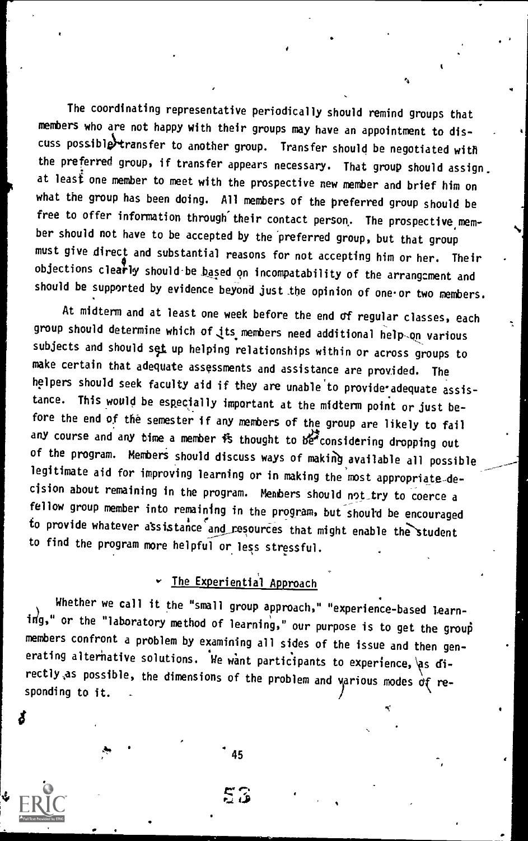The coordinating representative periodically should remind groups that members who are not happy with their groups may have an appointment to discuss possibletransfer to another group. Transfer should be negotiated with the preferred group, if transfer appears necessary. That group should assign. at least one member to meet with the prospective new member and brief him on what the group has been doing. All members of the preferred group should be free to offer information through their contact person. The prospective member should not have to be accepted by the preferred group, but that group must give direct and substantial reasons for not accepting him or her. Their objections clearly should be based on incompatability of the arrangement and should be supported by evidence beyond just the opinion of one or two members.

'74

At midterm and at least one week before the end of regular classes, each group should determine which of its members need additional help on various subjects and should set up helping relationships within or across groups to make certain that adequate assessments and assistance are provided. The helpers should seek faculty aid if they are unable to provide adequate assistance. This would be especially important at the midterm point or just before the end of the semester if any members of the group are likely to fail any course and any time a member is thought to be considering dropping out of the program. Members should discuss ways of making available all possible legitimate aid for improving learning or in making the most appropriate-decision about remaining in the program. Members should not try to coerce a fellow group member into remaining in the program, but should be encouraged to provide whatever assistance and resources that might enable the student to find the program more helpful or less stressful.

### v The Experiential Approach

Whether we call it the "small group approach," "experience-based learn- $\mathbf{i}$  $\mathbf{r}_9$ ," or the "laboratory method of learning," our purpose is to get the group members confront a problem by examining all sides of the issue and then gen erating alternative solutions. We want participants to experience, as directly as possible, the dimensions of the problem and various modes  $\dot{\sigma}$  responding to it.

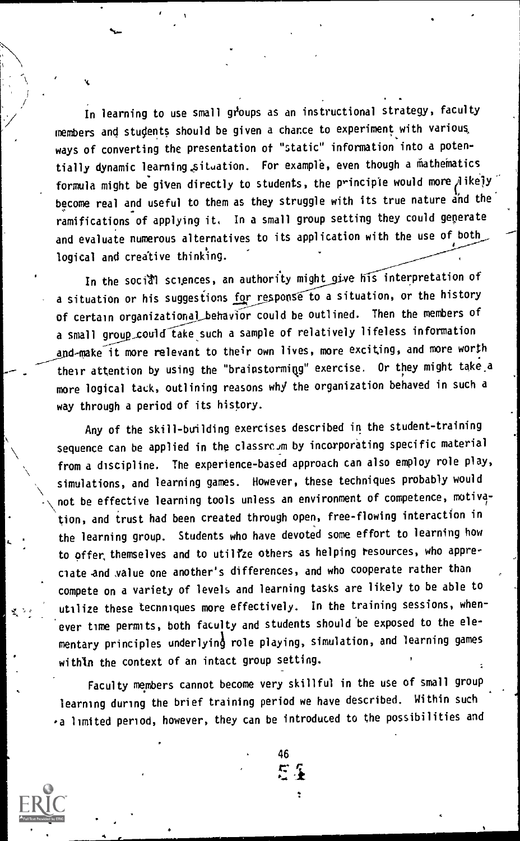In learning to use small groups as an instructional strategy, faculty members and students should be given a chance to experiment with various, ways of converting the presentation of "static" information into a potentially dynamic learning situation. For example, even though a mathematics formula might be given directly to students, the principle would more  $A$  ikely become real and useful to them as they struggle with its true nature and the ramifications of applying it. In a small group setting they could generate and evaluate numerous alternatives to its application with the use of both logical and creative thinking.

In the social sciences, an authority might give his interpretation of a situation or his suggestions for response to a situation, or the history of certain organizational behavior could be outlined. Then the members of a small group\_could take such a sample of relatively lifeless information and-make it more relevant to their own lives, more exciting, and more worth their attention by using the "brainstorming" exercise. Or they might take a more logical tack, outlining reasons whj the organization behaved in such a way through a period of its history.

Any of the skill-building exercises described in the student-training sequence can be applied in the classrc.m by incorporating specific material from a discipline. The experience-based approach can also employ role play, simulations, and learning games. However, these techniques probably would not be effective learning tools unless an environment of competence, motivation, and trust had been created through open, free-flowing interaction in the learning group. Students who have devoted some effort to learning how to offer, themselves and to utilize others as helping resources, who appreciate and .value one another's differences, and who cooperate rather than compete on a variety of levels and learning tasks are likely to be able to utilize these techniques more effectively. In the training sessions, whenever time permits, both faculty and students should be exposed to the elementary principles underlying role playing, simulation, and learning games within the context of an intact group setting.

Faculty members cannot become very skillful in the use of small group learning during the brief training period we have described. Within such -a limited period, however, they can be introduced to the possibilities and

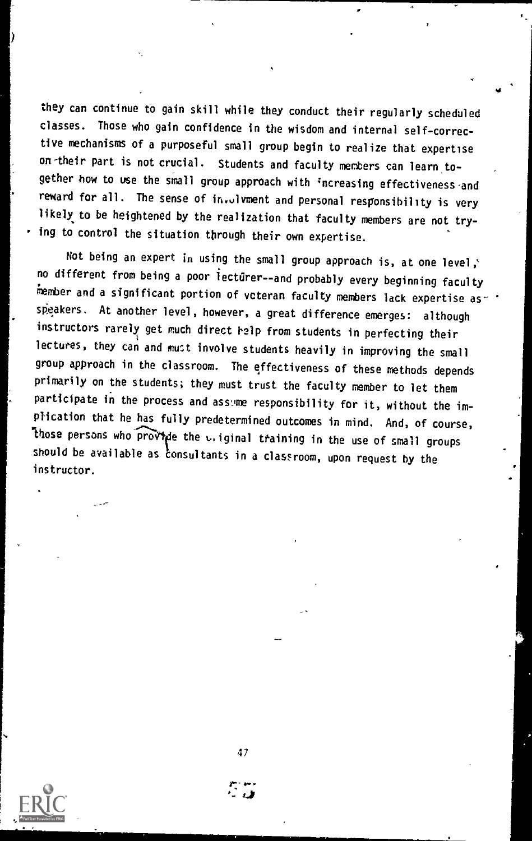they can continue to gain skill while they conduct their regularly scheduled classes. Those who gain confidence in the wisdom and internal self-corrective mechanisms of a purposeful small group begin to realize that expertise on-their part is not crucial. Students and faculty members can learn together how to use the small group approach with increasing effectiveness and reward for all. The sense of in.olvment and personal responsibility is very likely to be heightened by the realization that faculty members are not trying to control the situation through their own expertise.

Not being an expert in using the small group approach is, at one level,' no different from being a poor lecturer- -and probably every beginning faculty member and a significant portion of veteran faculty members lack expertise as  $\cdot$   $\cdot$ speakers. At another level, however, a great difference emerges: although instructors rarely get much direct help from students in perfecting their lectures, they can and must involve students heavily in improving the small group approach in the classroom. The effectiveness of these methods depends primarily on the students; they must trust the faculty member to let them participate in the process and assume responsibility for it, without the implication that he has fully predetermined outcomes in mind. And, of course, those persons who provide the v.iginal training in the use of small groups should be available as consultants in a classroom, upon request by the instructor.

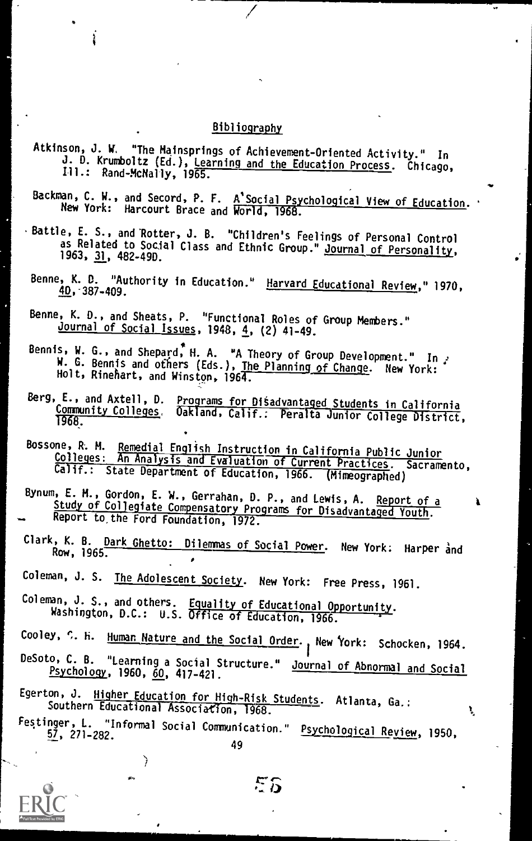### Bibliography

- Atkinson, J. W, "The Mainsprings of Achievement-Oriented Activity." In J. D. Krumboltz (Ed.), Learning and the Education Process. Chicago, Rand-McNally, 1965.
- Backman, C. W., and Secord, P. any of mits and Secord, F. F. A Social Psychological View of Education.<br>New York: Harcourt Brace and World, 1968.

1r

Ą,

- · Battle, E. S., and Rotter, J. B. "Children's Feelings of Personal Control as Related to Social Class . "Children's Feelings of Personal Control 1963, 31, 482-49D. and Ethnic Group." <u>Journal of Personalit</u>y,
	- Benne, K. U. "Authority in Education." **40, 387-409.**<br>40, 387-409.
- Benne, K. D., and Sheats, P. "Functional Roles of Group Members." Journal of Social Issues, 1948, 4, (2) 41-49.
- bennis, W. G., and Shepard, H. A. "A Theory of Group Development." In .<br>W. G. Bennis and others (Eds.), <u>The Planning of Change</u>. New York:<br>Holt, Rinehart, and Winston, 1964.
- Berg, E., and Axtell, D. Programs for Disadvantaged Students in California<br>Community Colleges, Oakland, Calif.: Peralta Junior College District,<br>1968.
- Bossone, R. M. Remedial English Instruction in California Public Junior<br>Colleges: An Analysis and Evaluation of Current Practices. Sacramento,<br>Calif.: State Department of Education, 1966. (Mimeographed)
- Bynum, E. M., Gordon, E. W., Gerrahan, D. P., and Lewis, A. Report of a Study of Collegiate Compensatory Programs for Disadvantaged Youth. Report to, the Ford Foundation, 1972.
- Clark, K. B. Dark Ghetto: Dilemmas of Social Power. New York: Harper and
- Coleman, J. S. The Adolescent Society. New York: Free Press, 1961.
- Coleman, J. S., and others. Equality of Educational Opportunity. Washington, D.C.: U.S. Office of Education, 1966.
- Cooley, C. H. Human Nature and the Social Order., New York: Schocken, 1964.
- DeSoto, C. B. "Learning a Social Structure." Journal of Abnormal and Social Psychology, 1960, 60, 417-421.
- Egerton, J. Higher Education for High-Risk Students. Atlanta, Ga.: Southern Educational Association, 1968.
- restinger, L. "Informal Social Communication." <u>Psychological Review</u>, 1950,<br>57, 271–282. 49



ΕS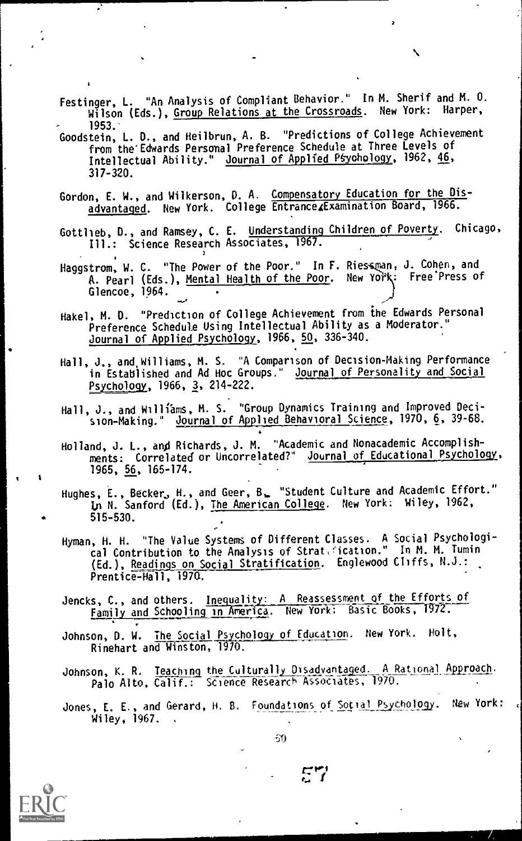- Festinger, L. "An Analysis of Compliant Behavior." In M. Sherif and M. 0. Wilson (Eds.), Group Relations at the Crossroads. New York: Harper,<br>1953.
- 1953. Goodstein, L. D., and Heilbrun, A. B. "Predictions of College Achievement from the'Edwards Personal Preference Schedule at Three Levels of Intellectual Ability." Journal of Applied Psychology, 1962, 46, 317-320.
- Gordon, E. W., and Wilkerson, D. A. Compensatory Education for the Disadvantaged. New York. College Entrance4Examination Board, 1966.
- Gottlieb, D., and Ramsey, C. E. Understanding Children of Poverty. Chicago, Ill.: Science Research Associates, 1967.
- Haggstrom, W. C. "The Power of the Poor." In F. A. Pearl (Eds.), <u>Mental Health of the Poor</u>. Wew for Glencoe, 1964. Ries man, J. Conen, and J New York: Free Press of Fig. 1  $\mathcal{L}$
- Hakel, M. O. "Prediction of College Achievement from the Edwards Personal Preference Schedule Using Intellectual Abili ty as a Moderator." Journal of Applied Psychology, 1966, 50, 336 -340.
- Hall, J., and Williams, M. S. "A Comparison of Decision-Making Performance in Established and Ad Hoc Groups." Journal of Personality and Social Psychology, 1966, 3, 214-222.
- Hall, J., and Williams, M. S. "Group Dynamics Training and Improved Decision-Making." Journal of Applied Behavioral Science, 1970, 6, 39-68.
- Holland, J. L., and Richards, J. M. "Academic and Nonacademic Accomplish-1965, <u>56</u>, 165–174. ments: Correlated or Uncorrelated?" Journal of Educational Psychology,
- Hughes, E., Becker, H., and Geer, B, "Student Culture and In N. Sanford (Ed.), <u>The American College</u>. New York: "Wiley, 515-530. Academic Effort." Wiley, 1962,
- Hyman, H. H. "The Value Systems of Different Classes. A Social Psychological Contribution to the Analysis of Strati(ication." In M. M. Tumin Fig. 1 (Ed.), Re<u>adings on Social Stratification</u>. Englewood Cliffs, N.J.: <sub>-</sub> Prentice-Hall, 1970.
- Jencks, C., and others. Inegyality: A Reassessment of the Efforts of Family and Schooling in America. New York; Basic Books, 1972.
- Johnson, D. W. The Social Psychology of Education, New York. Holt, Rinehart and Winston, 1970.
- Johnson, K. R. <u>Teaching</u> the Culturally Disadvantaged. A Rational Approach. | Palo Alto, Calif.: Science Research Associates, 1970.
- Jones, E. E., and Gerard, H. B. Foundations of Social Psychology. New York: Wiley. 1967.



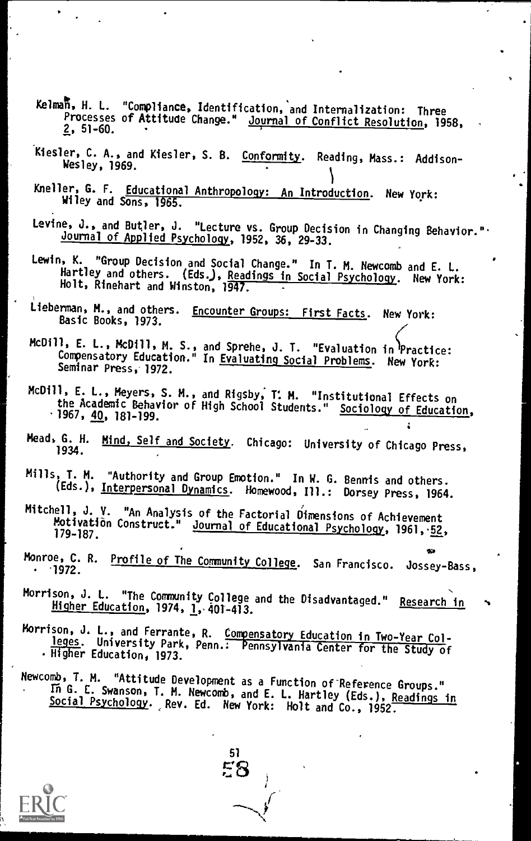- Kelmat, H. L. "Compliance, Identification, and Internalization: Three rrocesses or Attitude Change." <u>Journal of Conflict Resolution</u>, 1958,<br>2, 51–60.
- Kiesler, C. A., and Kiesler, S. B. <u>Conformity</u>. Reading, Mass.: Addison-<br>Wesley, 1969.
- Kneller, G. F. Educational Anthropology: An Introduction. New York: Wiley and Sons, 1965.
- Levine, J., and Butler, J. "Lecture vs. Group Decision in Changing Behavior." Journal of Applied Psychology, 1952, 36, 29-33.
- Lewin, K. "Group Decision and Social Change." In T. M. Newcomb and E. L. nartley and others. (Eds.), <u>Readings in Social Psychology</u>. New York:<br>Holt, Rinehart and Winston, 1947. .
- Lieberman, M., and others. Encounter Groups: First Facts. New York: Basic Books, 1973.
- McDill, E. L., &Dill, M. S., and Sprehe, J. T. "Evaluation in'Practice: compensatory Education." In <u>Evaluating Social Problems</u>. New York:<br>Seminar Pross :1972 Seminar Press, 1972.
- McDill, E. L., Meyers, S. M., and Rigsby, 1. M. "Institutional Effects on the Academic Behavior of High School Students." Sociology of Education, <sup>.</sup> 1967,<u>40</u>,181-199.
- Mead, G. H. Mind, Self and Society. Chicago: University of Chicago Press, 1934.
- Mills, T. M. "Authority and Group Emotion." In W. G. Bennis and others. (Eds.), Interpersonal Dynamics. Homewood, Ill.: Dorsey Press, 1964.
- Mitchell, J. V. "An Analysis of the Factorial Dimensions of Achievement Motivation Construct." Journal of Educational Psychology, 1961, 52,
- Monroe, C. R. Profile of The Community College. San Francisco. Jossey-Bass,
- Morrison, J. L. "The Community College and the Disadvantaged." Research in Higher Education, 1974, 1, 401-413.
- Morrison, J. L., and Ferrante, R. Compensatory Education in Two-Year Col-<br>leges. University Park, Penn.: Pennsylvania Center for the Study of<br>Higher Education, 1973.
- Newcomb, T. M. "Attitude Development as a Function of Reference Groups." In G. E. Swanson, T. M. Newcomb, and E. L. Hartley (Eds.), Readings in Social Psychology. ,Rev. Ed. New York: Holt and Co., 1952.

51 58

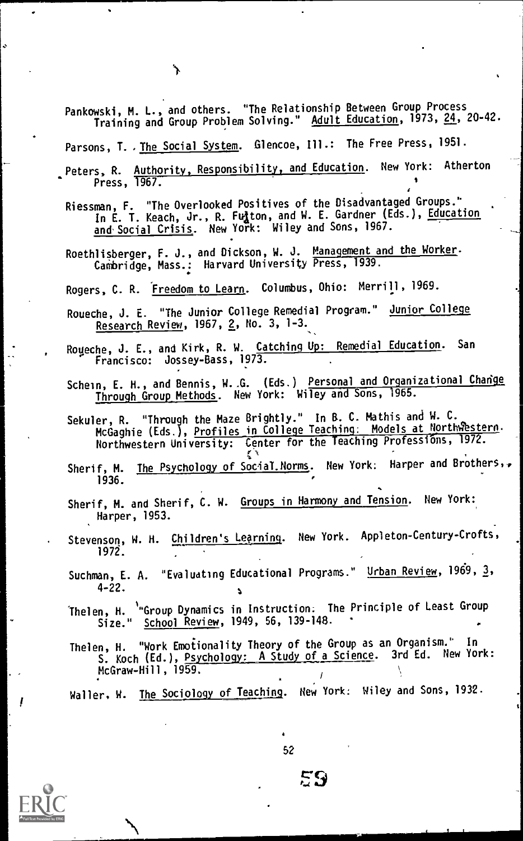Pankowski, M. L., and others. "The Relationship Between Group Process Training and Group Problem Solving." Adult Education, 1973, 24, 20-42.

Parsons, T. , The Social System. Glencoe, Ill.: The Free Press, 1951.

Peters, R. Authority, Responsibility, and Education. New York: Atherton Press, 1967.

Riessman, F. "The Overlooked Positives of the Disadvantaged Groups.' In E. T. Keach, Jr., R. Fulton, and W. E. Gardner (Eds.), Education and Social Crisis. New York: Wiley and Sons, 1967.

Roethlisberger, F. J., and Dickson, W. J. Management and the Worker. Cambridge, Mass.: Harvard University Press, 1939.

Rogers, C. R. Freedom to Learn. Columbus, Ohio: Merrill, 1969.

Roueche, J. E. "The Junior College Remedial Program." Junior College Research Review, 1967, 2, No. 3, 1-3.

Roueche, J. E., and Kirk, R. W. Catching Up: Remedial Education. San Francisco: Jossey-Bass, 1973.

- Schein, E. H., and Bennis, W. G. (Eds.) Personal and Organizational Change Through Group Methods. New York: Wiley and Sons, 1965.
- Sekuler, R. "Through the Maze Brightly." In R. C. Mathis and W. C. McGaghie (Eds.), <u>Profiles in College Teaching: Models at NorthWestern</u>.<br>. Northwestern University: Center for the Teaching Professions, 1972.
- Sherif, M. The Psychology of Social.Norms. New York: Harper and Brothers,. 1936.
- Sherif, M. and Sherif, C. W. Groups in Harmony and Tension. New York: Harper, 1953.
- Stevenson, W. H. Children's Learning. New York. Appleton-Century-Crofts, 1972.

Suchman, E. A. "Evaluating Educational Programs." Urban Review, 1969, 3, 4-22.

Thelen, H. <sup>'</sup>"Group Dynamics in Instruction. The Principle of Least Group<br>- Size." <u>School Review</u>, 1949, 56, 139-148. School Review, 1949, 56, 139-148.

Thelen, H. "Work Emotionality Theory of the Group as an Organism.' In S. Koch (Ed.), Psychology: A Study of a Science. 3rd Ed. New York: McGraw-Hill, 1959.

Waller, W. The Sociology of Teaching. New York: Wiley and Sons, 1932.

52

**EQ**